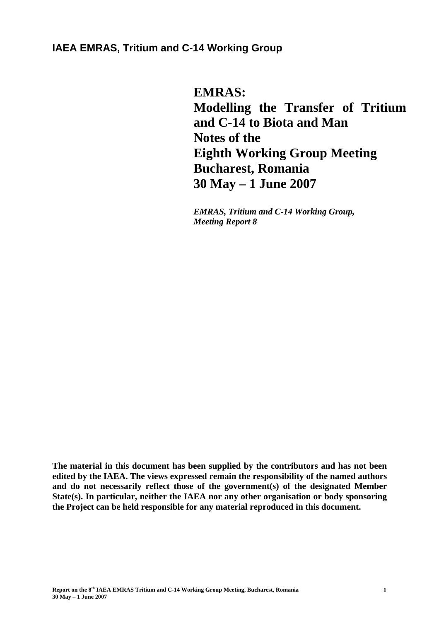# **IAEA EMRAS, Tritium and C-14 Working Group**

**EMRAS: Modelling the Transfer of Tritium and C-14 to Biota and Man Notes of the Eighth Working Group Meeting Bucharest, Romania 30 May – 1 June 2007** 

*EMRAS, Tritium and C-14 Working Group, Meeting Report 8* 

**The material in this document has been supplied by the contributors and has not been edited by the IAEA. The views expressed remain the responsibility of the named authors and do not necessarily reflect those of the government(s) of the designated Member State(s). In particular, neither the IAEA nor any other organisation or body sponsoring the Project can be held responsible for any material reproduced in this document.**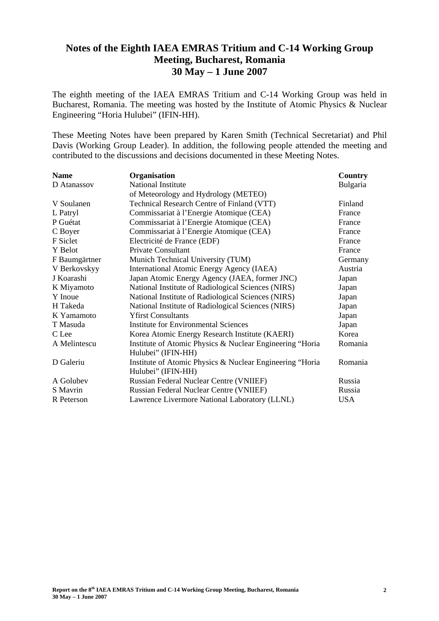# **Notes of the Eighth IAEA EMRAS Tritium and C-14 Working Group Meeting, Bucharest, Romania 30 May – 1 June 2007**

The eighth meeting of the IAEA EMRAS Tritium and C-14 Working Group was held in Bucharest, Romania. The meeting was hosted by the Institute of Atomic Physics & Nuclear Engineering "Horia Hulubei" (IFIN-HH).

These Meeting Notes have been prepared by Karen Smith (Technical Secretariat) and Phil Davis (Working Group Leader). In addition, the following people attended the meeting and contributed to the discussions and decisions documented in these Meeting Notes.

| <b>Name</b>   | Organisation                                             | Country    |
|---------------|----------------------------------------------------------|------------|
| D Atanassov   | <b>National Institute</b>                                | Bulgaria   |
|               | of Meteorology and Hydrology (METEO)                     |            |
| V Soulanen    | Technical Research Centre of Finland (VTT)               | Finland    |
| L Patryl      | Commissariat à l'Energie Atomique (CEA)                  | France     |
| P Guétat      | Commissariat à l'Energie Atomique (CEA)                  | France     |
| C Boyer       | Commissariat à l'Energie Atomique (CEA)                  | France     |
| F Siclet      | Electricité de France (EDF)                              | France     |
| Y Belot       | <b>Private Consultant</b>                                | France     |
| F Baumgärtner | Munich Technical University (TUM)                        | Germany    |
| V Berkovskyy  | International Atomic Energy Agency (IAEA)                | Austria    |
| J Koarashi    | Japan Atomic Energy Agency (JAEA, former JNC)            | Japan      |
| K Miyamoto    | National Institute of Radiological Sciences (NIRS)       | Japan      |
| Y Inoue       | National Institute of Radiological Sciences (NIRS)       | Japan      |
| H Takeda      | National Institute of Radiological Sciences (NIRS)       | Japan      |
| K Yamamoto    | <b>Yfirst Consultants</b>                                | Japan      |
| T Masuda      | <b>Institute for Environmental Sciences</b>              | Japan      |
| C Lee         | Korea Atomic Energy Research Institute (KAERI)           | Korea      |
| A Melintescu  | Institute of Atomic Physics & Nuclear Engineering "Horia | Romania    |
|               | Hulubei" (IFIN-HH)                                       |            |
| D Galeriu     | Institute of Atomic Physics & Nuclear Engineering "Horia | Romania    |
|               | Hulubei" (IFIN-HH)                                       |            |
| A Golubev     | Russian Federal Nuclear Centre (VNIIEF)                  | Russia     |
| S Mavrin      | Russian Federal Nuclear Centre (VNIIEF)                  | Russia     |
| R Peterson    | Lawrence Livermore National Laboratory (LLNL)            | <b>USA</b> |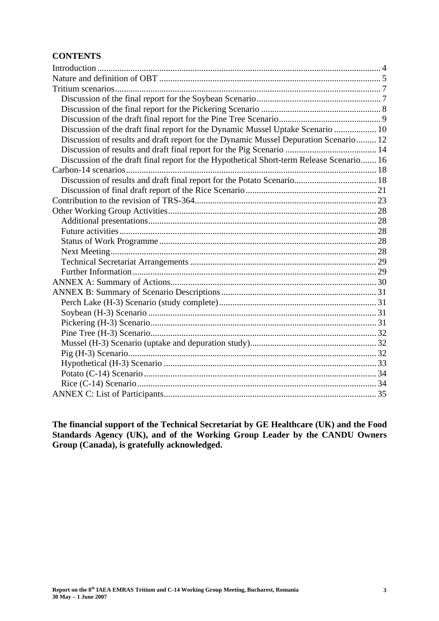## **CONTENTS**

| Discussion of the draft final report for the Dynamic Mussel Uptake Scenario  10          |  |
|------------------------------------------------------------------------------------------|--|
| Discussion of results and draft report for the Dynamic Mussel Depuration Scenario 12     |  |
|                                                                                          |  |
| Discussion of the draft final report for the Hypothetical Short-term Release Scenario 16 |  |
|                                                                                          |  |
|                                                                                          |  |
|                                                                                          |  |
|                                                                                          |  |
|                                                                                          |  |
|                                                                                          |  |
|                                                                                          |  |
|                                                                                          |  |
|                                                                                          |  |
|                                                                                          |  |
|                                                                                          |  |
|                                                                                          |  |
|                                                                                          |  |
|                                                                                          |  |
|                                                                                          |  |
|                                                                                          |  |
|                                                                                          |  |
|                                                                                          |  |
|                                                                                          |  |
|                                                                                          |  |
|                                                                                          |  |
|                                                                                          |  |
|                                                                                          |  |

**The financial support of the Technical Secretariat by GE Healthcare (UK) and the Food Standards Agency (UK), and of the Working Group Leader by the CANDU Owners Group (Canada), is gratefully acknowledged.**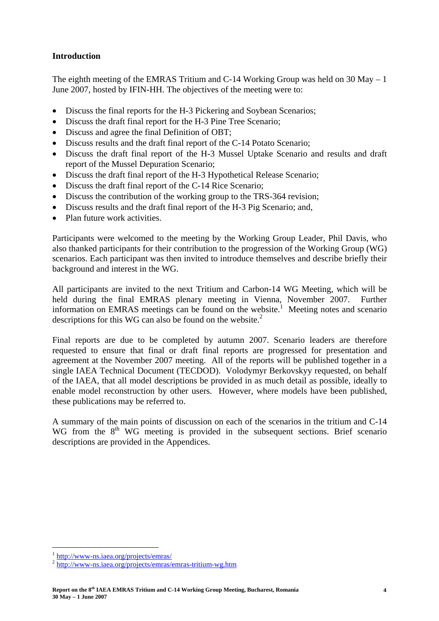## **Introduction**

The eighth meeting of the EMRAS Tritium and C-14 Working Group was held on 30 May – 1 June 2007, hosted by IFIN-HH. The objectives of the meeting were to:

- Discuss the final reports for the H-3 Pickering and Soybean Scenarios;
- Discuss the draft final report for the H-3 Pine Tree Scenario;
- Discuss and agree the final Definition of OBT;
- Discuss results and the draft final report of the C-14 Potato Scenario;
- Discuss the draft final report of the H-3 Mussel Uptake Scenario and results and draft report of the Mussel Depuration Scenario;
- Discuss the draft final report of the H-3 Hypothetical Release Scenario;
- Discuss the draft final report of the C-14 Rice Scenario;
- Discuss the contribution of the working group to the TRS-364 revision;
- Discuss results and the draft final report of the H-3 Pig Scenario; and,
- Plan future work activities.

Participants were welcomed to the meeting by the Working Group Leader, Phil Davis, who also thanked participants for their contribution to the progression of the Working Group (WG) scenarios. Each participant was then invited to introduce themselves and describe briefly their background and interest in the WG.

All participants are invited to the next Tritium and Carbon-14 WG Meeting, which will be held during the final EMRAS plenary meeting in Vienna, November 2007. Further information on EMRAS meetings can be found on the website.<sup>1</sup> Meeting notes and scenario descriptions for this WG can also be found on the website.<sup>2</sup>

Final reports are due to be completed by autumn 2007. Scenario leaders are therefore requested to ensure that final or draft final reports are progressed for presentation and agreement at the November 2007 meeting. All of the reports will be published together in a single IAEA Technical Document (TECDOD). Volodymyr Berkovskyy requested, on behalf of the IAEA, that all model descriptions be provided in as much detail as possible, ideally to enable model reconstruction by other users. However, where models have been published, these publications may be referred to.

A summary of the main points of discussion on each of the scenarios in the tritium and C-14 WG from the  $8<sup>th</sup>$  WG meeting is provided in the subsequent sections. Brief scenario descriptions are provided in the Appendices.

 $\overline{a}$ 

<sup>1</sup> http://www-ns.iaea.org/projects/emras/ 2 http://www-ns.iaea.org/projects/emras/emras-tritium-wg.htm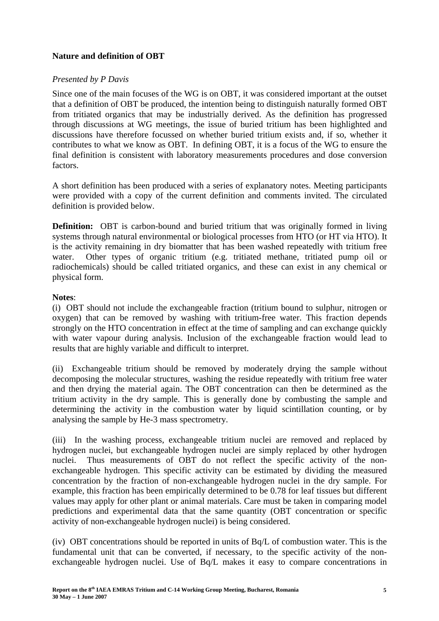## **Nature and definition of OBT**

## *Presented by P Davis*

Since one of the main focuses of the WG is on OBT, it was considered important at the outset that a definition of OBT be produced, the intention being to distinguish naturally formed OBT from tritiated organics that may be industrially derived. As the definition has progressed through discussions at WG meetings, the issue of buried tritium has been highlighted and discussions have therefore focussed on whether buried tritium exists and, if so, whether it contributes to what we know as OBT. In defining OBT, it is a focus of the WG to ensure the final definition is consistent with laboratory measurements procedures and dose conversion factors.

A short definition has been produced with a series of explanatory notes. Meeting participants were provided with a copy of the current definition and comments invited. The circulated definition is provided below.

**Definition:** OBT is carbon-bound and buried tritium that was originally formed in living systems through natural environmental or biological processes from HTO (or HT via HTO). It is the activity remaining in dry biomatter that has been washed repeatedly with tritium free water. Other types of organic tritium (e.g. tritiated methane, tritiated pump oil or radiochemicals) should be called tritiated organics, and these can exist in any chemical or physical form.

## **Notes**:

(i) OBT should not include the exchangeable fraction (tritium bound to sulphur, nitrogen or oxygen) that can be removed by washing with tritium-free water. This fraction depends strongly on the HTO concentration in effect at the time of sampling and can exchange quickly with water vapour during analysis. Inclusion of the exchangeable fraction would lead to results that are highly variable and difficult to interpret.

(ii) Exchangeable tritium should be removed by moderately drying the sample without decomposing the molecular structures, washing the residue repeatedly with tritium free water and then drying the material again. The OBT concentration can then be determined as the tritium activity in the dry sample. This is generally done by combusting the sample and determining the activity in the combustion water by liquid scintillation counting, or by analysing the sample by He-3 mass spectrometry.

(iii) In the washing process, exchangeable tritium nuclei are removed and replaced by hydrogen nuclei, but exchangeable hydrogen nuclei are simply replaced by other hydrogen nuclei. Thus measurements of OBT do not reflect the specific activity of the nonexchangeable hydrogen. This specific activity can be estimated by dividing the measured concentration by the fraction of non-exchangeable hydrogen nuclei in the dry sample. For example, this fraction has been empirically determined to be 0.78 for leaf tissues but different values may apply for other plant or animal materials. Care must be taken in comparing model predictions and experimental data that the same quantity (OBT concentration or specific activity of non-exchangeable hydrogen nuclei) is being considered.

(iv) OBT concentrations should be reported in units of Bq/L of combustion water. This is the fundamental unit that can be converted, if necessary, to the specific activity of the nonexchangeable hydrogen nuclei. Use of Bq/L makes it easy to compare concentrations in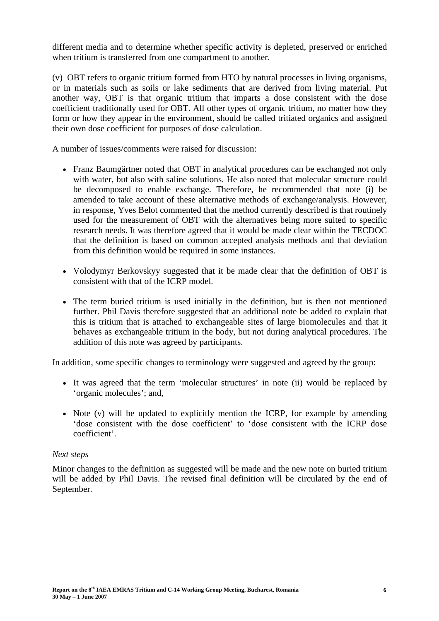different media and to determine whether specific activity is depleted, preserved or enriched when tritium is transferred from one compartment to another.

(v) OBT refers to organic tritium formed from HTO by natural processes in living organisms, or in materials such as soils or lake sediments that are derived from living material. Put another way, OBT is that organic tritium that imparts a dose consistent with the dose coefficient traditionally used for OBT. All other types of organic tritium, no matter how they form or how they appear in the environment, should be called tritiated organics and assigned their own dose coefficient for purposes of dose calculation.

A number of issues/comments were raised for discussion:

- Franz Baumgärtner noted that OBT in analytical procedures can be exchanged not only with water, but also with saline solutions. He also noted that molecular structure could be decomposed to enable exchange. Therefore, he recommended that note (i) be amended to take account of these alternative methods of exchange/analysis. However, in response, Yves Belot commented that the method currently described is that routinely used for the measurement of OBT with the alternatives being more suited to specific research needs. It was therefore agreed that it would be made clear within the TECDOC that the definition is based on common accepted analysis methods and that deviation from this definition would be required in some instances.
- Volodymyr Berkovskyy suggested that it be made clear that the definition of OBT is consistent with that of the ICRP model.
- The term buried tritium is used initially in the definition, but is then not mentioned further. Phil Davis therefore suggested that an additional note be added to explain that this is tritium that is attached to exchangeable sites of large biomolecules and that it behaves as exchangeable tritium in the body, but not during analytical procedures. The addition of this note was agreed by participants.

In addition, some specific changes to terminology were suggested and agreed by the group:

- It was agreed that the term 'molecular structures' in note (ii) would be replaced by 'organic molecules'; and,
- Note (y) will be updated to explicitly mention the ICRP, for example by amending 'dose consistent with the dose coefficient' to 'dose consistent with the ICRP dose coefficient'.

#### *Next steps*

Minor changes to the definition as suggested will be made and the new note on buried tritium will be added by Phil Davis. The revised final definition will be circulated by the end of September.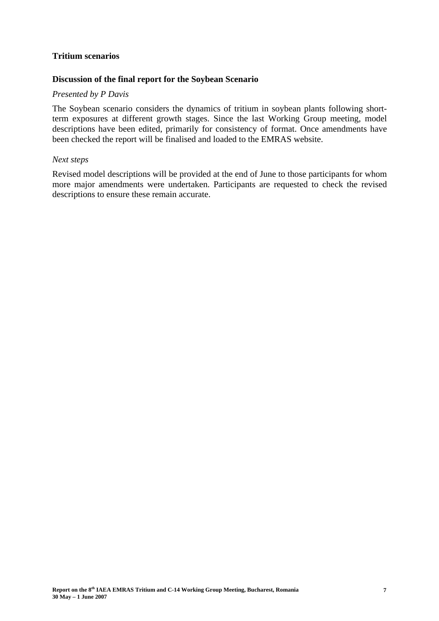#### **Tritium scenarios**

#### **Discussion of the final report for the Soybean Scenario**

#### *Presented by P Davis*

The Soybean scenario considers the dynamics of tritium in soybean plants following shortterm exposures at different growth stages. Since the last Working Group meeting, model descriptions have been edited, primarily for consistency of format. Once amendments have been checked the report will be finalised and loaded to the EMRAS website.

#### *Next steps*

Revised model descriptions will be provided at the end of June to those participants for whom more major amendments were undertaken. Participants are requested to check the revised descriptions to ensure these remain accurate.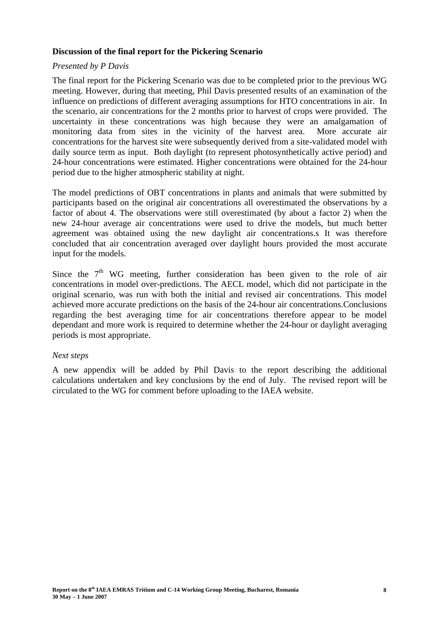## **Discussion of the final report for the Pickering Scenario**

#### *Presented by P Davis*

The final report for the Pickering Scenario was due to be completed prior to the previous WG meeting. However, during that meeting, Phil Davis presented results of an examination of the influence on predictions of different averaging assumptions for HTO concentrations in air. In the scenario, air concentrations for the 2 months prior to harvest of crops were provided. The uncertainty in these concentrations was high because they were an amalgamation of monitoring data from sites in the vicinity of the harvest area. More accurate air concentrations for the harvest site were subsequently derived from a site-validated model with daily source term as input. Both daylight (to represent photosynthetically active period) and 24-hour concentrations were estimated. Higher concentrations were obtained for the 24-hour period due to the higher atmospheric stability at night.

The model predictions of OBT concentrations in plants and animals that were submitted by participants based on the original air concentrations all overestimated the observations by a factor of about 4. The observations were still overestimated (by about a factor 2) when the new 24-hour average air concentrations were used to drive the models, but much better agreement was obtained using the new daylight air concentrations.s It was therefore concluded that air concentration averaged over daylight hours provided the most accurate input for the models.

Since the  $7<sup>th</sup>$  WG meeting, further consideration has been given to the role of air concentrations in model over-predictions. The AECL model, which did not participate in the original scenario, was run with both the initial and revised air concentrations. This model achieved more accurate predictions on the basis of the 24-hour air concentrations.Conclusions regarding the best averaging time for air concentrations therefore appear to be model dependant and more work is required to determine whether the 24-hour or daylight averaging periods is most appropriate.

#### *Next steps*

A new appendix will be added by Phil Davis to the report describing the additional calculations undertaken and key conclusions by the end of July. The revised report will be circulated to the WG for comment before uploading to the IAEA website.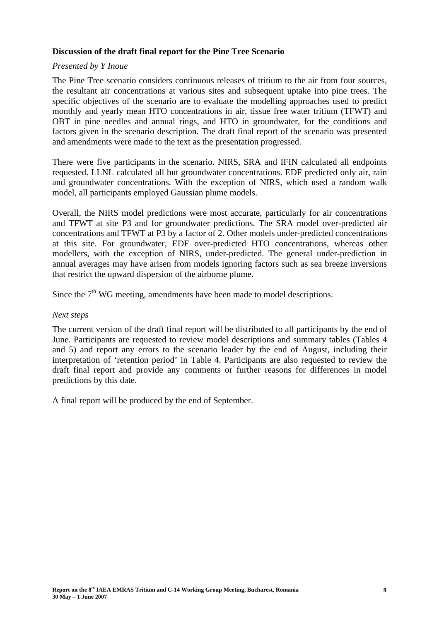## **Discussion of the draft final report for the Pine Tree Scenario**

#### *Presented by Y Inoue*

The Pine Tree scenario considers continuous releases of tritium to the air from four sources, the resultant air concentrations at various sites and subsequent uptake into pine trees. The specific objectives of the scenario are to evaluate the modelling approaches used to predict monthly and yearly mean HTO concentrations in air, tissue free water tritium (TFWT) and OBT in pine needles and annual rings, and HTO in groundwater, for the conditions and factors given in the scenario description. The draft final report of the scenario was presented and amendments were made to the text as the presentation progressed.

There were five participants in the scenario. NIRS, SRA and IFIN calculated all endpoints requested. LLNL calculated all but groundwater concentrations. EDF predicted only air, rain and groundwater concentrations. With the exception of NIRS, which used a random walk model, all participants employed Gaussian plume models.

Overall, the NIRS model predictions were most accurate, particularly for air concentrations and TFWT at site P3 and for groundwater predictions. The SRA model over-predicted air concentrations and TFWT at P3 by a factor of 2. Other models under-predicted concentrations at this site. For groundwater, EDF over-predicted HTO concentrations, whereas other modellers, with the exception of NIRS, under-predicted. The general under-prediction in annual averages may have arisen from models ignoring factors such as sea breeze inversions that restrict the upward dispersion of the airborne plume.

Since the  $7<sup>th</sup>$  WG meeting, amendments have been made to model descriptions.

#### *Next steps*

The current version of the draft final report will be distributed to all participants by the end of June. Participants are requested to review model descriptions and summary tables (Tables 4 and 5) and report any errors to the scenario leader by the end of August, including their interpretation of 'retention period' in Table 4. Participants are also requested to review the draft final report and provide any comments or further reasons for differences in model predictions by this date.

A final report will be produced by the end of September.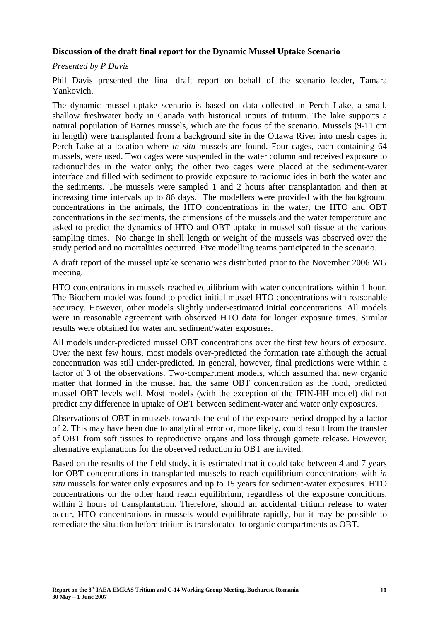## **Discussion of the draft final report for the Dynamic Mussel Uptake Scenario**

#### *Presented by P Davis*

Phil Davis presented the final draft report on behalf of the scenario leader, Tamara Yankovich.

The dynamic mussel uptake scenario is based on data collected in Perch Lake, a small, shallow freshwater body in Canada with historical inputs of tritium. The lake supports a natural population of Barnes mussels, which are the focus of the scenario. Mussels (9-11 cm in length) were transplanted from a background site in the Ottawa River into mesh cages in Perch Lake at a location where *in situ* mussels are found. Four cages, each containing 64 mussels, were used. Two cages were suspended in the water column and received exposure to radionuclides in the water only; the other two cages were placed at the sediment-water interface and filled with sediment to provide exposure to radionuclides in both the water and the sediments. The mussels were sampled 1 and 2 hours after transplantation and then at increasing time intervals up to 86 days. The modellers were provided with the background concentrations in the animals, the HTO concentrations in the water, the HTO and OBT concentrations in the sediments, the dimensions of the mussels and the water temperature and asked to predict the dynamics of HTO and OBT uptake in mussel soft tissue at the various sampling times. No change in shell length or weight of the mussels was observed over the study period and no mortalities occurred. Five modelling teams participated in the scenario.

A draft report of the mussel uptake scenario was distributed prior to the November 2006 WG meeting.

HTO concentrations in mussels reached equilibrium with water concentrations within 1 hour. The Biochem model was found to predict initial mussel HTO concentrations with reasonable accuracy. However, other models slightly under-estimated initial concentrations. All models were in reasonable agreement with observed HTO data for longer exposure times. Similar results were obtained for water and sediment/water exposures.

All models under-predicted mussel OBT concentrations over the first few hours of exposure. Over the next few hours, most models over-predicted the formation rate although the actual concentration was still under-predicted. In general, however, final predictions were within a factor of 3 of the observations. Two-compartment models, which assumed that new organic matter that formed in the mussel had the same OBT concentration as the food, predicted mussel OBT levels well. Most models (with the exception of the IFIN-HH model) did not predict any difference in uptake of OBT between sediment-water and water only exposures.

Observations of OBT in mussels towards the end of the exposure period dropped by a factor of 2. This may have been due to analytical error or, more likely, could result from the transfer of OBT from soft tissues to reproductive organs and loss through gamete release. However, alternative explanations for the observed reduction in OBT are invited.

Based on the results of the field study, it is estimated that it could take between 4 and 7 years for OBT concentrations in transplanted mussels to reach equilibrium concentrations with *in situ* mussels for water only exposures and up to 15 years for sediment-water exposures. HTO concentrations on the other hand reach equilibrium, regardless of the exposure conditions, within 2 hours of transplantation. Therefore, should an accidental tritium release to water occur, HTO concentrations in mussels would equilibrate rapidly, but it may be possible to remediate the situation before tritium is translocated to organic compartments as OBT.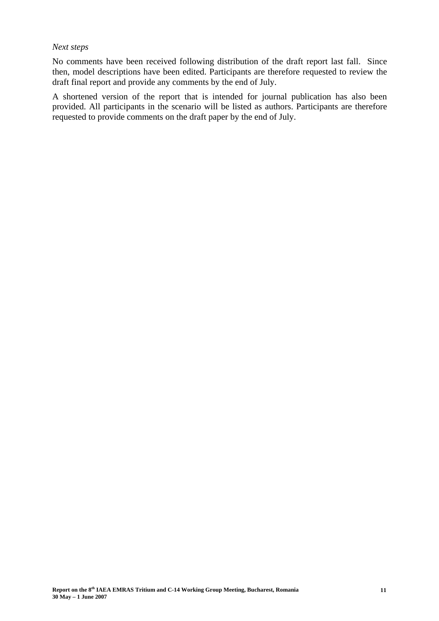#### *Next steps*

No comments have been received following distribution of the draft report last fall. Since then, model descriptions have been edited. Participants are therefore requested to review the draft final report and provide any comments by the end of July.

A shortened version of the report that is intended for journal publication has also been provided. All participants in the scenario will be listed as authors. Participants are therefore requested to provide comments on the draft paper by the end of July.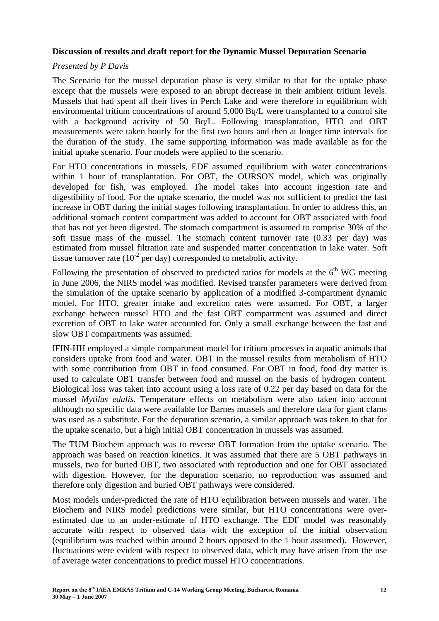## **Discussion of results and draft report for the Dynamic Mussel Depuration Scenario**

## *Presented by P Davis*

The Scenario for the mussel depuration phase is very similar to that for the uptake phase except that the mussels were exposed to an abrupt decrease in their ambient tritium levels. Mussels that had spent all their lives in Perch Lake and were therefore in equilibrium with environmental tritium concentrations of around 5,000 Bq/L were transplanted to a control site with a background activity of 50 Bq/L. Following transplantation, HTO and OBT measurements were taken hourly for the first two hours and then at longer time intervals for the duration of the study. The same supporting information was made available as for the initial uptake scenario. Four models were applied to the scenario.

For HTO concentrations in mussels, EDF assumed equilibrium with water concentrations within 1 hour of transplantation. For OBT, the OURSON model, which was originally developed for fish, was employed. The model takes into account ingestion rate and digestibility of food. For the uptake scenario, the model was not sufficient to predict the fast increase in OBT during the initial stages following transplantation. In order to address this, an additional stomach content compartment was added to account for OBT associated with food that has not yet been digested. The stomach compartment is assumed to comprise 30% of the soft tissue mass of the mussel. The stomach content turnover rate (0.33 per day) was estimated from mussel filtration rate and suspended matter concentration in lake water. Soft tissue turnover rate  $(10^{-2}$  per day) corresponded to metabolic activity.

Following the presentation of observed to predicted ratios for models at the  $6<sup>th</sup>$  WG meeting in June 2006, the NIRS model was modified. Revised transfer parameters were derived from the simulation of the uptake scenario by application of a modified 3-compartment dynamic model. For HTO, greater intake and excretion rates were assumed. For OBT, a larger exchange between mussel HTO and the fast OBT compartment was assumed and direct excretion of OBT to lake water accounted for. Only a small exchange between the fast and slow OBT compartments was assumed.

IFIN-HH employed a simple compartment model for tritium processes in aquatic animals that considers uptake from food and water. OBT in the mussel results from metabolism of HTO with some contribution from OBT in food consumed. For OBT in food, food dry matter is used to calculate OBT transfer between food and mussel on the basis of hydrogen content. Biological loss was taken into account using a loss rate of 0.22 per day based on data for the mussel *Mytilus edulis*. Temperature effects on metabolism were also taken into account although no specific data were available for Barnes mussels and therefore data for giant clams was used as a substitute. For the depuration scenario, a similar approach was taken to that for the uptake scenario, but a high initial OBT concentration in mussels was assumed.

The TUM Biochem approach was to reverse OBT formation from the uptake scenario. The approach was based on reaction kinetics. It was assumed that there are 5 OBT pathways in mussels, two for buried OBT, two associated with reproduction and one for OBT associated with digestion. However, for the depuration scenario, no reproduction was assumed and therefore only digestion and buried OBT pathways were considered.

Most models under-predicted the rate of HTO equilibration between mussels and water. The Biochem and NIRS model predictions were similar, but HTO concentrations were overestimated due to an under-estimate of HTO exchange. The EDF model was reasonably accurate with respect to observed data with the exception of the initial observation (equilibrium was reached within around 2 hours opposed to the 1 hour assumed). However, fluctuations were evident with respect to observed data, which may have arisen from the use of average water concentrations to predict mussel HTO concentrations.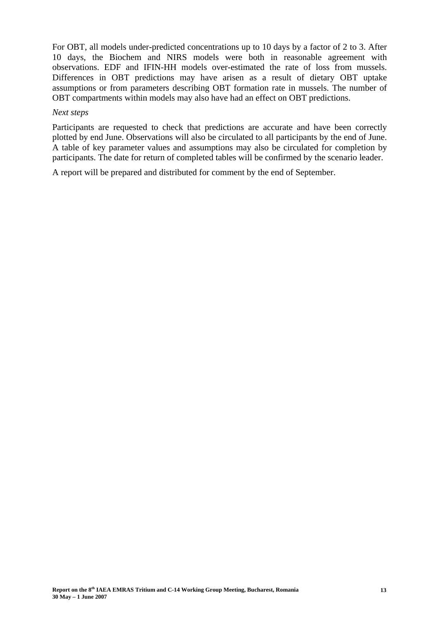For OBT, all models under-predicted concentrations up to 10 days by a factor of 2 to 3. After 10 days, the Biochem and NIRS models were both in reasonable agreement with observations. EDF and IFIN-HH models over-estimated the rate of loss from mussels. Differences in OBT predictions may have arisen as a result of dietary OBT uptake assumptions or from parameters describing OBT formation rate in mussels. The number of OBT compartments within models may also have had an effect on OBT predictions.

#### *Next steps*

Participants are requested to check that predictions are accurate and have been correctly plotted by end June. Observations will also be circulated to all participants by the end of June. A table of key parameter values and assumptions may also be circulated for completion by participants. The date for return of completed tables will be confirmed by the scenario leader.

A report will be prepared and distributed for comment by the end of September.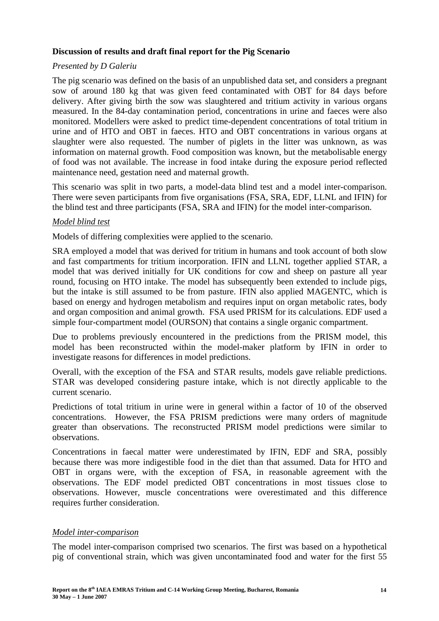## **Discussion of results and draft final report for the Pig Scenario**

## *Presented by D Galeriu*

The pig scenario was defined on the basis of an unpublished data set, and considers a pregnant sow of around 180 kg that was given feed contaminated with OBT for 84 days before delivery. After giving birth the sow was slaughtered and tritium activity in various organs measured. In the 84-day contamination period, concentrations in urine and faeces were also monitored. Modellers were asked to predict time-dependent concentrations of total tritium in urine and of HTO and OBT in faeces. HTO and OBT concentrations in various organs at slaughter were also requested. The number of piglets in the litter was unknown, as was information on maternal growth. Food composition was known, but the metabolisable energy of food was not available. The increase in food intake during the exposure period reflected maintenance need, gestation need and maternal growth.

This scenario was split in two parts, a model-data blind test and a model inter-comparison. There were seven participants from five organisations (FSA, SRA, EDF, LLNL and IFIN) for the blind test and three participants (FSA, SRA and IFIN) for the model inter-comparison.

## *Model blind test*

Models of differing complexities were applied to the scenario.

SRA employed a model that was derived for tritium in humans and took account of both slow and fast compartments for tritium incorporation. IFIN and LLNL together applied STAR, a model that was derived initially for UK conditions for cow and sheep on pasture all year round, focusing on HTO intake. The model has subsequently been extended to include pigs, but the intake is still assumed to be from pasture. IFIN also applied MAGENTC, which is based on energy and hydrogen metabolism and requires input on organ metabolic rates, body and organ composition and animal growth. FSA used PRISM for its calculations. EDF used a simple four-compartment model (OURSON) that contains a single organic compartment.

Due to problems previously encountered in the predictions from the PRISM model, this model has been reconstructed within the model-maker platform by IFIN in order to investigate reasons for differences in model predictions.

Overall, with the exception of the FSA and STAR results, models gave reliable predictions. STAR was developed considering pasture intake, which is not directly applicable to the current scenario.

Predictions of total tritium in urine were in general within a factor of 10 of the observed concentrations. However, the FSA PRISM predictions were many orders of magnitude greater than observations. The reconstructed PRISM model predictions were similar to observations.

Concentrations in faecal matter were underestimated by IFIN, EDF and SRA, possibly because there was more indigestible food in the diet than that assumed. Data for HTO and OBT in organs were, with the exception of FSA, in reasonable agreement with the observations. The EDF model predicted OBT concentrations in most tissues close to observations. However, muscle concentrations were overestimated and this difference requires further consideration.

#### *Model inter-comparison*

The model inter-comparison comprised two scenarios. The first was based on a hypothetical pig of conventional strain, which was given uncontaminated food and water for the first 55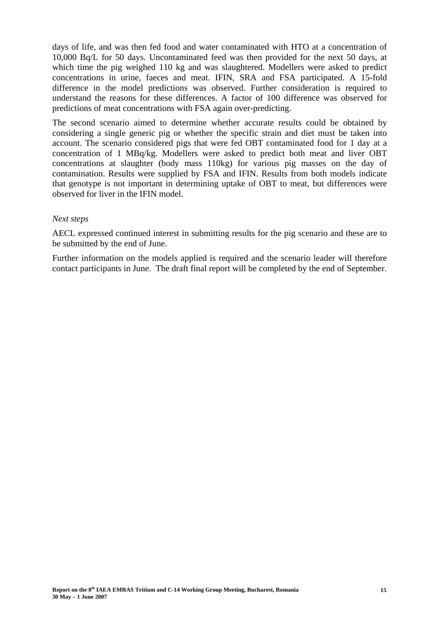days of life, and was then fed food and water contaminated with HTO at a concentration of 10,000 Bq/L for 50 days. Uncontaminated feed was then provided for the next 50 days, at which time the pig weighed 110 kg and was slaughtered. Modellers were asked to predict concentrations in urine, faeces and meat. IFIN, SRA and FSA participated. A 15-fold difference in the model predictions was observed. Further consideration is required to understand the reasons for these differences. A factor of 100 difference was observed for predictions of meat concentrations with FSA again over-predicting.

The second scenario aimed to determine whether accurate results could be obtained by considering a single generic pig or whether the specific strain and diet must be taken into account. The scenario considered pigs that were fed OBT contaminated food for 1 day at a concentration of 1 MBq/kg. Modellers were asked to predict both meat and liver OBT concentrations at slaughter (body mass 110kg) for various pig masses on the day of contamination. Results were supplied by FSA and IFIN. Results from both models indicate that genotype is not important in determining uptake of OBT to meat, but differences were observed for liver in the IFIN model.

#### *Next steps*

AECL expressed continued interest in submitting results for the pig scenario and these are to be submitted by the end of June.

Further information on the models applied is required and the scenario leader will therefore contact participants in June. The draft final report will be completed by the end of September.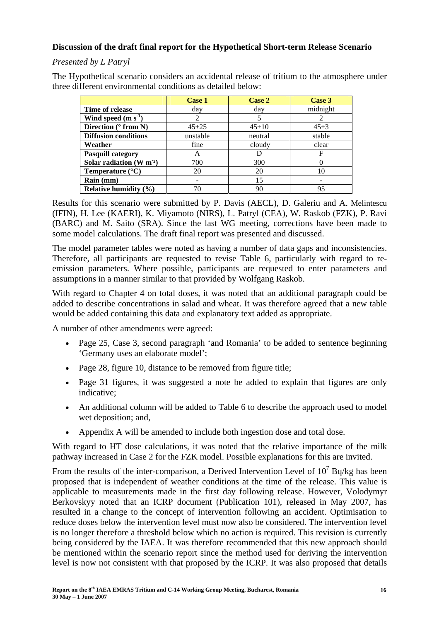## **Discussion of the draft final report for the Hypothetical Short-term Release Scenario**

## *Presented by L Patryl*

The Hypothetical scenario considers an accidental release of tritium to the atmosphere under three different environmental conditions as detailed below:

|                              | Case 1    | Case 2      | Case 3     |
|------------------------------|-----------|-------------|------------|
| Time of release              | day       | day         | midnight   |
| Wind speed $(m s-1)$         | 2         |             |            |
| Direction ( $\circ$ from N)  | $45 + 25$ | $45 \pm 10$ | $45 \pm 3$ |
| <b>Diffusion conditions</b>  | unstable  | neutral     | stable     |
| Weather                      | fine      | cloudy      | clear      |
| <b>Pasquill category</b>     | A         |             | F          |
| Solar radiation $(W m2)$     | 700       | 300         |            |
| Temperature $(^{\circ}C)$    | 20        | 20          | 10         |
| Rain (mm)                    |           | 15          |            |
| <b>Relative humidity (%)</b> | 70        | 90          | 95         |

Results for this scenario were submitted by P. Davis (AECL), D. Galeriu and A. Melintescu (IFIN), H. Lee (KAERI), K. Miyamoto (NIRS), L. Patryl (CEA), W. Raskob (FZK), P. Ravi (BARC) and M. Saito (SRA). Since the last WG meeting, corrections have been made to some model calculations. The draft final report was presented and discussed.

The model parameter tables were noted as having a number of data gaps and inconsistencies. Therefore, all participants are requested to revise Table 6, particularly with regard to reemission parameters. Where possible, participants are requested to enter parameters and assumptions in a manner similar to that provided by Wolfgang Raskob.

With regard to Chapter 4 on total doses, it was noted that an additional paragraph could be added to describe concentrations in salad and wheat. It was therefore agreed that a new table would be added containing this data and explanatory text added as appropriate.

A number of other amendments were agreed:

- Page 25, Case 3, second paragraph 'and Romania' to be added to sentence beginning 'Germany uses an elaborate model';
- Page 28, figure 10, distance to be removed from figure title:
- Page 31 figures, it was suggested a note be added to explain that figures are only indicative;
- An additional column will be added to Table 6 to describe the approach used to model wet deposition; and,
- Appendix A will be amended to include both ingestion dose and total dose.

With regard to HT dose calculations, it was noted that the relative importance of the milk pathway increased in Case 2 for the FZK model. Possible explanations for this are invited.

From the results of the inter-comparison, a Derived Intervention Level of  $10^7$  Bq/kg has been proposed that is independent of weather conditions at the time of the release. This value is applicable to measurements made in the first day following release. However, Volodymyr Berkovskyy noted that an ICRP document (Publication 101), released in May 2007, has resulted in a change to the concept of intervention following an accident. Optimisation to reduce doses below the intervention level must now also be considered. The intervention level is no longer therefore a threshold below which no action is required. This revision is currently being considered by the IAEA. It was therefore recommended that this new approach should be mentioned within the scenario report since the method used for deriving the intervention level is now not consistent with that proposed by the ICRP. It was also proposed that details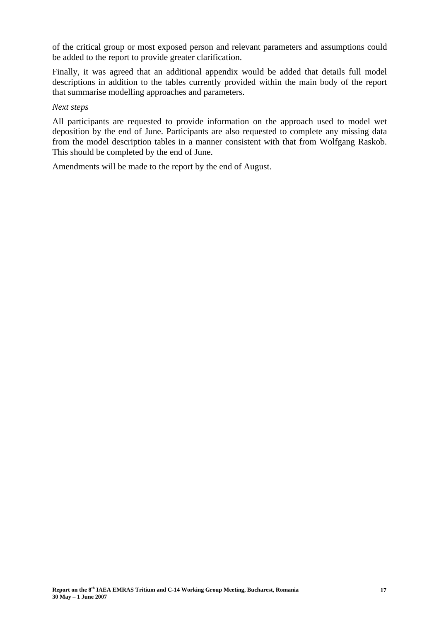of the critical group or most exposed person and relevant parameters and assumptions could be added to the report to provide greater clarification.

Finally, it was agreed that an additional appendix would be added that details full model descriptions in addition to the tables currently provided within the main body of the report that summarise modelling approaches and parameters.

#### *Next steps*

All participants are requested to provide information on the approach used to model wet deposition by the end of June. Participants are also requested to complete any missing data from the model description tables in a manner consistent with that from Wolfgang Raskob. This should be completed by the end of June.

Amendments will be made to the report by the end of August.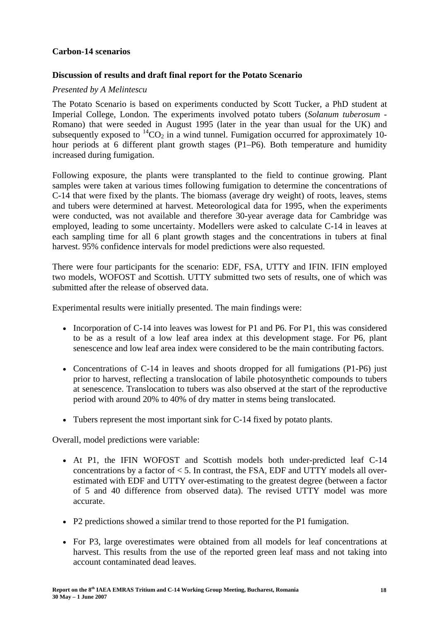## **Carbon-14 scenarios**

## **Discussion of results and draft final report for the Potato Scenario**

#### *Presented by A Melintescu*

The Potato Scenario is based on experiments conducted by Scott Tucker, a PhD student at Imperial College, London. The experiments involved potato tubers (*Solanum tuberosum* - Romano) that were seeded in August 1995 (later in the year than usual for the UK) and subsequently exposed to  ${}^{14}CO_2$  in a wind tunnel. Fumigation occurred for approximately 10hour periods at 6 different plant growth stages (P1–P6). Both temperature and humidity increased during fumigation.

Following exposure, the plants were transplanted to the field to continue growing. Plant samples were taken at various times following fumigation to determine the concentrations of C-14 that were fixed by the plants. The biomass (average dry weight) of roots, leaves, stems and tubers were determined at harvest. Meteorological data for 1995, when the experiments were conducted, was not available and therefore 30-year average data for Cambridge was employed, leading to some uncertainty. Modellers were asked to calculate C-14 in leaves at each sampling time for all 6 plant growth stages and the concentrations in tubers at final harvest. 95% confidence intervals for model predictions were also requested.

There were four participants for the scenario: EDF, FSA, UTTY and IFIN. IFIN employed two models, WOFOST and Scottish. UTTY submitted two sets of results, one of which was submitted after the release of observed data.

Experimental results were initially presented. The main findings were:

- Incorporation of C-14 into leaves was lowest for P1 and P6. For P1, this was considered to be as a result of a low leaf area index at this development stage. For P6, plant senescence and low leaf area index were considered to be the main contributing factors.
- Concentrations of C-14 in leaves and shoots dropped for all fumigations (P1-P6) just prior to harvest, reflecting a translocation of labile photosynthetic compounds to tubers at senescence. Translocation to tubers was also observed at the start of the reproductive period with around 20% to 40% of dry matter in stems being translocated.
- Tubers represent the most important sink for C-14 fixed by potato plants.

Overall, model predictions were variable:

- At P1, the IFIN WOFOST and Scottish models both under-predicted leaf C-14 concentrations by a factor of  $<$  5. In contrast, the FSA, EDF and UTTY models all overestimated with EDF and UTTY over-estimating to the greatest degree (between a factor of 5 and 40 difference from observed data). The revised UTTY model was more accurate.
- P2 predictions showed a similar trend to those reported for the P1 fumigation.
- For P3, large overestimates were obtained from all models for leaf concentrations at harvest. This results from the use of the reported green leaf mass and not taking into account contaminated dead leaves.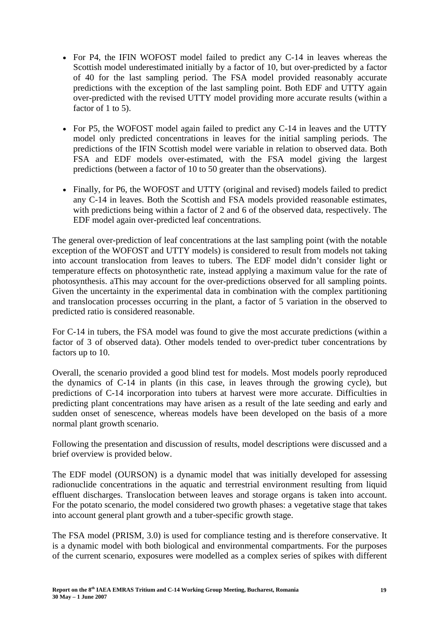- For P4, the IFIN WOFOST model failed to predict any C-14 in leaves whereas the Scottish model underestimated initially by a factor of 10, but over-predicted by a factor of 40 for the last sampling period. The FSA model provided reasonably accurate predictions with the exception of the last sampling point. Both EDF and UTTY again over-predicted with the revised UTTY model providing more accurate results (within a factor of 1 to 5).
- For P5, the WOFOST model again failed to predict any C-14 in leaves and the UTTY model only predicted concentrations in leaves for the initial sampling periods. The predictions of the IFIN Scottish model were variable in relation to observed data. Both FSA and EDF models over-estimated, with the FSA model giving the largest predictions (between a factor of 10 to 50 greater than the observations).
- Finally, for P6, the WOFOST and UTTY (original and revised) models failed to predict any C-14 in leaves. Both the Scottish and FSA models provided reasonable estimates, with predictions being within a factor of 2 and 6 of the observed data, respectively. The EDF model again over-predicted leaf concentrations.

The general over-prediction of leaf concentrations at the last sampling point (with the notable exception of the WOFOST and UTTY models) is considered to result from models not taking into account translocation from leaves to tubers. The EDF model didn't consider light or temperature effects on photosynthetic rate, instead applying a maximum value for the rate of photosynthesis. aThis may account for the over-predictions observed for all sampling points. Given the uncertainty in the experimental data in combination with the complex partitioning and translocation processes occurring in the plant, a factor of 5 variation in the observed to predicted ratio is considered reasonable.

For C-14 in tubers, the FSA model was found to give the most accurate predictions (within a factor of 3 of observed data). Other models tended to over-predict tuber concentrations by factors up to 10.

Overall, the scenario provided a good blind test for models. Most models poorly reproduced the dynamics of C-14 in plants (in this case, in leaves through the growing cycle), but predictions of C-14 incorporation into tubers at harvest were more accurate. Difficulties in predicting plant concentrations may have arisen as a result of the late seeding and early and sudden onset of senescence, whereas models have been developed on the basis of a more normal plant growth scenario.

Following the presentation and discussion of results, model descriptions were discussed and a brief overview is provided below.

The EDF model (OURSON) is a dynamic model that was initially developed for assessing radionuclide concentrations in the aquatic and terrestrial environment resulting from liquid effluent discharges. Translocation between leaves and storage organs is taken into account. For the potato scenario, the model considered two growth phases: a vegetative stage that takes into account general plant growth and a tuber-specific growth stage.

The FSA model (PRISM, 3.0) is used for compliance testing and is therefore conservative. It is a dynamic model with both biological and environmental compartments. For the purposes of the current scenario, exposures were modelled as a complex series of spikes with different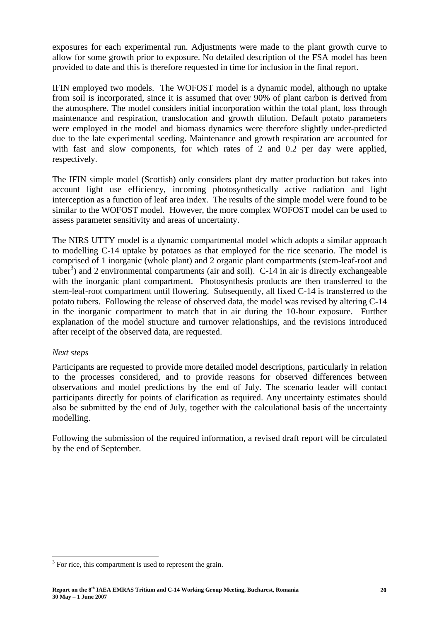exposures for each experimental run. Adjustments were made to the plant growth curve to allow for some growth prior to exposure. No detailed description of the FSA model has been provided to date and this is therefore requested in time for inclusion in the final report.

IFIN employed two models. The WOFOST model is a dynamic model, although no uptake from soil is incorporated, since it is assumed that over 90% of plant carbon is derived from the atmosphere. The model considers initial incorporation within the total plant, loss through maintenance and respiration, translocation and growth dilution. Default potato parameters were employed in the model and biomass dynamics were therefore slightly under-predicted due to the late experimental seeding. Maintenance and growth respiration are accounted for with fast and slow components, for which rates of 2 and 0.2 per day were applied, respectively.

The IFIN simple model (Scottish) only considers plant dry matter production but takes into account light use efficiency, incoming photosynthetically active radiation and light interception as a function of leaf area index. The results of the simple model were found to be similar to the WOFOST model. However, the more complex WOFOST model can be used to assess parameter sensitivity and areas of uncertainty.

The NIRS UTTY model is a dynamic compartmental model which adopts a similar approach to modelling C-14 uptake by potatoes as that employed for the rice scenario. The model is comprised of 1 inorganic (whole plant) and 2 organic plant compartments (stem-leaf-root and tuber<sup>3</sup>) and 2 environmental compartments (air and soil). C-14 in air is directly exchangeable with the inorganic plant compartment. Photosynthesis products are then transferred to the stem-leaf-root compartment until flowering. Subsequently, all fixed C-14 is transferred to the potato tubers. Following the release of observed data, the model was revised by altering C-14 in the inorganic compartment to match that in air during the 10-hour exposure. Further explanation of the model structure and turnover relationships, and the revisions introduced after receipt of the observed data, are requested.

## *Next steps*

 $\overline{a}$ 

Participants are requested to provide more detailed model descriptions, particularly in relation to the processes considered, and to provide reasons for observed differences between observations and model predictions by the end of July. The scenario leader will contact participants directly for points of clarification as required. Any uncertainty estimates should also be submitted by the end of July, together with the calculational basis of the uncertainty modelling.

Following the submission of the required information, a revised draft report will be circulated by the end of September.

 $3$  For rice, this compartment is used to represent the grain.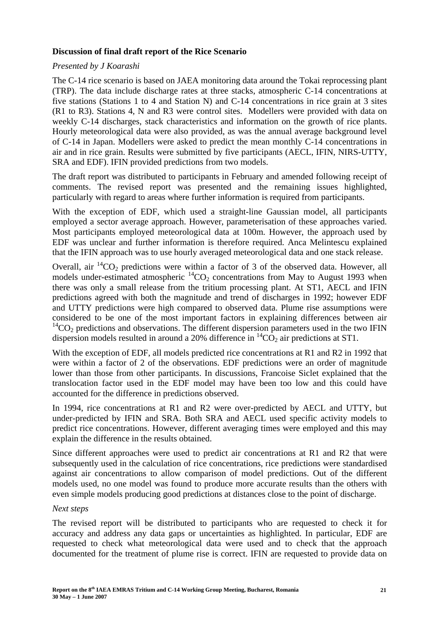## **Discussion of final draft report of the Rice Scenario**

#### *Presented by J Koarashi*

The C-14 rice scenario is based on JAEA monitoring data around the Tokai reprocessing plant (TRP). The data include discharge rates at three stacks, atmospheric C-14 concentrations at five stations (Stations 1 to 4 and Station N) and C-14 concentrations in rice grain at 3 sites (R1 to R3). Stations 4, N and R3 were control sites. Modellers were provided with data on weekly C-14 discharges, stack characteristics and information on the growth of rice plants. Hourly meteorological data were also provided, as was the annual average background level of C-14 in Japan. Modellers were asked to predict the mean monthly C-14 concentrations in air and in rice grain. Results were submitted by five participants (AECL, IFIN, NIRS-UTTY, SRA and EDF). IFIN provided predictions from two models.

The draft report was distributed to participants in February and amended following receipt of comments. The revised report was presented and the remaining issues highlighted, particularly with regard to areas where further information is required from participants.

With the exception of EDF, which used a straight-line Gaussian model, all participants employed a sector average approach. However, parameterisation of these approaches varied. Most participants employed meteorological data at 100m. However, the approach used by EDF was unclear and further information is therefore required. Anca Melintescu explained that the IFIN approach was to use hourly averaged meteorological data and one stack release.

Overall, air  ${}^{14}CO_2$  predictions were within a factor of 3 of the observed data. However, all models under-estimated atmospheric  ${}^{14}CO_2$  concentrations from May to August 1993 when there was only a small release from the tritium processing plant. At ST1, AECL and IFIN predictions agreed with both the magnitude and trend of discharges in 1992; however EDF and UTTY predictions were high compared to observed data. Plume rise assumptions were considered to be one of the most important factors in explaining differences between air  $14$ CO<sub>2</sub> predictions and observations. The different dispersion parameters used in the two IFIN dispersion models resulted in around a 20% difference in  ${}^{14}CO_2$  air predictions at ST1.

With the exception of EDF, all models predicted rice concentrations at R1 and R2 in 1992 that were within a factor of 2 of the observations. EDF predictions were an order of magnitude lower than those from other participants. In discussions, Francoise Siclet explained that the translocation factor used in the EDF model may have been too low and this could have accounted for the difference in predictions observed.

In 1994, rice concentrations at R1 and R2 were over-predicted by AECL and UTTY, but under-predicted by IFIN and SRA. Both SRA and AECL used specific activity models to predict rice concentrations. However, different averaging times were employed and this may explain the difference in the results obtained.

Since different approaches were used to predict air concentrations at R1 and R2 that were subsequently used in the calculation of rice concentrations, rice predictions were standardised against air concentrations to allow comparison of model predictions. Out of the different models used, no one model was found to produce more accurate results than the others with even simple models producing good predictions at distances close to the point of discharge.

#### *Next steps*

The revised report will be distributed to participants who are requested to check it for accuracy and address any data gaps or uncertainties as highlighted. In particular, EDF are requested to check what meteorological data were used and to check that the approach documented for the treatment of plume rise is correct. IFIN are requested to provide data on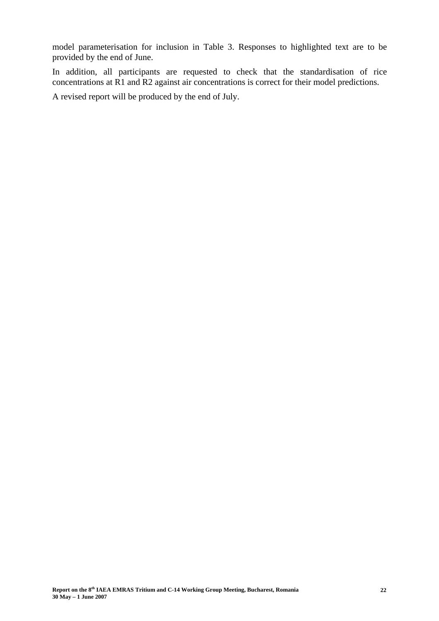model parameterisation for inclusion in Table 3. Responses to highlighted text are to be provided by the end of June.

In addition, all participants are requested to check that the standardisation of rice concentrations at R1 and R2 against air concentrations is correct for their model predictions.

A revised report will be produced by the end of July.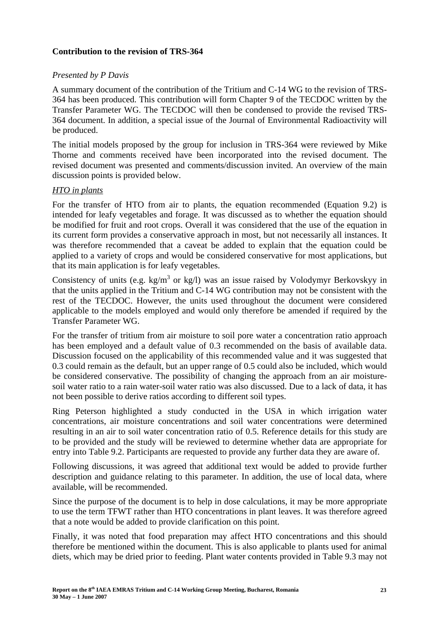## **Contribution to the revision of TRS-364**

## *Presented by P Davis*

A summary document of the contribution of the Tritium and C-14 WG to the revision of TRS-364 has been produced. This contribution will form Chapter 9 of the TECDOC written by the Transfer Parameter WG. The TECDOC will then be condensed to provide the revised TRS-364 document. In addition, a special issue of the Journal of Environmental Radioactivity will be produced.

The initial models proposed by the group for inclusion in TRS-364 were reviewed by Mike Thorne and comments received have been incorporated into the revised document. The revised document was presented and comments/discussion invited. An overview of the main discussion points is provided below.

## *HTO in plants*

For the transfer of HTO from air to plants, the equation recommended (Equation 9.2) is intended for leafy vegetables and forage. It was discussed as to whether the equation should be modified for fruit and root crops. Overall it was considered that the use of the equation in its current form provides a conservative approach in most, but not necessarily all instances. It was therefore recommended that a caveat be added to explain that the equation could be applied to a variety of crops and would be considered conservative for most applications, but that its main application is for leafy vegetables.

Consistency of units (e.g.  $kg/m<sup>3</sup>$  or kg/l) was an issue raised by Volodymyr Berkovskyy in that the units applied in the Tritium and C-14 WG contribution may not be consistent with the rest of the TECDOC. However, the units used throughout the document were considered applicable to the models employed and would only therefore be amended if required by the Transfer Parameter WG.

For the transfer of tritium from air moisture to soil pore water a concentration ratio approach has been employed and a default value of 0.3 recommended on the basis of available data. Discussion focused on the applicability of this recommended value and it was suggested that 0.3 could remain as the default, but an upper range of 0.5 could also be included, which would be considered conservative. The possibility of changing the approach from an air moisturesoil water ratio to a rain water-soil water ratio was also discussed. Due to a lack of data, it has not been possible to derive ratios according to different soil types.

Ring Peterson highlighted a study conducted in the USA in which irrigation water concentrations, air moisture concentrations and soil water concentrations were determined resulting in an air to soil water concentration ratio of 0.5. Reference details for this study are to be provided and the study will be reviewed to determine whether data are appropriate for entry into Table 9.2. Participants are requested to provide any further data they are aware of.

Following discussions, it was agreed that additional text would be added to provide further description and guidance relating to this parameter. In addition, the use of local data, where available, will be recommended.

Since the purpose of the document is to help in dose calculations, it may be more appropriate to use the term TFWT rather than HTO concentrations in plant leaves. It was therefore agreed that a note would be added to provide clarification on this point.

Finally, it was noted that food preparation may affect HTO concentrations and this should therefore be mentioned within the document. This is also applicable to plants used for animal diets, which may be dried prior to feeding. Plant water contents provided in Table 9.3 may not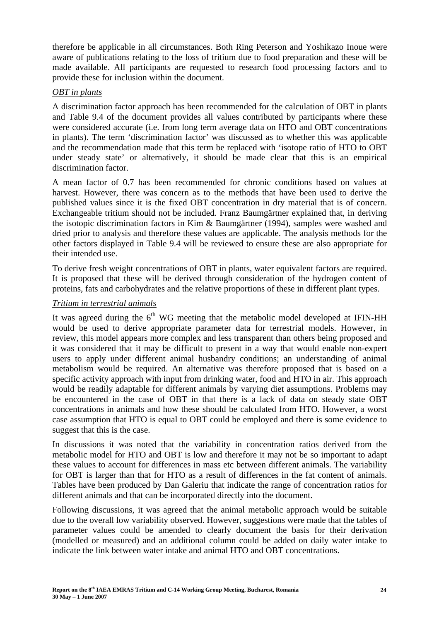therefore be applicable in all circumstances. Both Ring Peterson and Yoshikazo Inoue were aware of publications relating to the loss of tritium due to food preparation and these will be made available. All participants are requested to research food processing factors and to provide these for inclusion within the document.

## *OBT in plants*

A discrimination factor approach has been recommended for the calculation of OBT in plants and Table 9.4 of the document provides all values contributed by participants where these were considered accurate (i.e. from long term average data on HTO and OBT concentrations in plants). The term 'discrimination factor' was discussed as to whether this was applicable and the recommendation made that this term be replaced with 'isotope ratio of HTO to OBT under steady state' or alternatively, it should be made clear that this is an empirical discrimination factor.

A mean factor of 0.7 has been recommended for chronic conditions based on values at harvest. However, there was concern as to the methods that have been used to derive the published values since it is the fixed OBT concentration in dry material that is of concern. Exchangeable tritium should not be included. Franz Baumgärtner explained that, in deriving the isotopic discrimination factors in Kim & Baumgärtner (1994), samples were washed and dried prior to analysis and therefore these values are applicable. The analysis methods for the other factors displayed in Table 9.4 will be reviewed to ensure these are also appropriate for their intended use.

To derive fresh weight concentrations of OBT in plants, water equivalent factors are required. It is proposed that these will be derived through consideration of the hydrogen content of proteins, fats and carbohydrates and the relative proportions of these in different plant types.

## *Tritium in terrestrial animals*

It was agreed during the  $6<sup>th</sup>$  WG meeting that the metabolic model developed at IFIN-HH would be used to derive appropriate parameter data for terrestrial models. However, in review, this model appears more complex and less transparent than others being proposed and it was considered that it may be difficult to present in a way that would enable non-expert users to apply under different animal husbandry conditions; an understanding of animal metabolism would be required. An alternative was therefore proposed that is based on a specific activity approach with input from drinking water, food and HTO in air. This approach would be readily adaptable for different animals by varying diet assumptions. Problems may be encountered in the case of OBT in that there is a lack of data on steady state OBT concentrations in animals and how these should be calculated from HTO. However, a worst case assumption that HTO is equal to OBT could be employed and there is some evidence to suggest that this is the case.

In discussions it was noted that the variability in concentration ratios derived from the metabolic model for HTO and OBT is low and therefore it may not be so important to adapt these values to account for differences in mass etc between different animals. The variability for OBT is larger than that for HTO as a result of differences in the fat content of animals. Tables have been produced by Dan Galeriu that indicate the range of concentration ratios for different animals and that can be incorporated directly into the document.

Following discussions, it was agreed that the animal metabolic approach would be suitable due to the overall low variability observed. However, suggestions were made that the tables of parameter values could be amended to clearly document the basis for their derivation (modelled or measured) and an additional column could be added on daily water intake to indicate the link between water intake and animal HTO and OBT concentrations.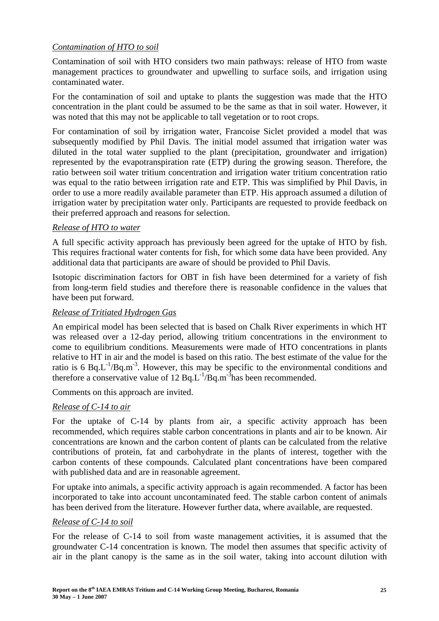## *Contamination of HTO to soil*

Contamination of soil with HTO considers two main pathways: release of HTO from waste management practices to groundwater and upwelling to surface soils, and irrigation using contaminated water.

For the contamination of soil and uptake to plants the suggestion was made that the HTO concentration in the plant could be assumed to be the same as that in soil water. However, it was noted that this may not be applicable to tall vegetation or to root crops.

For contamination of soil by irrigation water, Francoise Siclet provided a model that was subsequently modified by Phil Davis. The initial model assumed that irrigation water was diluted in the total water supplied to the plant (precipitation, groundwater and irrigation) represented by the evapotranspiration rate (ETP) during the growing season. Therefore, the ratio between soil water tritium concentration and irrigation water tritium concentration ratio was equal to the ratio between irrigation rate and ETP. This was simplified by Phil Davis, in order to use a more readily available parameter than ETP. His approach assumed a dilution of irrigation water by precipitation water only. Participants are requested to provide feedback on their preferred approach and reasons for selection.

## *Release of HTO to water*

A full specific activity approach has previously been agreed for the uptake of HTO by fish. This requires fractional water contents for fish, for which some data have been provided. Any additional data that participants are aware of should be provided to Phil Davis.

Isotopic discrimination factors for OBT in fish have been determined for a variety of fish from long-term field studies and therefore there is reasonable confidence in the values that have been put forward.

## *Release of Tritiated Hydrogen Gas*

An empirical model has been selected that is based on Chalk River experiments in which HT was released over a 12-day period, allowing tritium concentrations in the environment to come to equilibrium conditions. Measurements were made of HTO concentrations in plants relative to HT in air and the model is based on this ratio. The best estimate of the value for the ratio is 6 Bq.L<sup>-1</sup>/Bq.m<sup>-3</sup>. However, this may be specific to the environmental conditions and therefore a conservative value of 12  $Bq.L^{-1}/Bq.m^{-3}$  has been recommended.

Comments on this approach are invited.

## *Release of C-14 to air*

For the uptake of C-14 by plants from air, a specific activity approach has been recommended, which requires stable carbon concentrations in plants and air to be known. Air concentrations are known and the carbon content of plants can be calculated from the relative contributions of protein, fat and carbohydrate in the plants of interest, together with the carbon contents of these compounds. Calculated plant concentrations have been compared with published data and are in reasonable agreement.

For uptake into animals, a specific activity approach is again recommended. A factor has been incorporated to take into account uncontaminated feed. The stable carbon content of animals has been derived from the literature. However further data, where available, are requested.

#### *Release of C-14 to soil*

For the release of C-14 to soil from waste management activities, it is assumed that the groundwater C-14 concentration is known. The model then assumes that specific activity of air in the plant canopy is the same as in the soil water, taking into account dilution with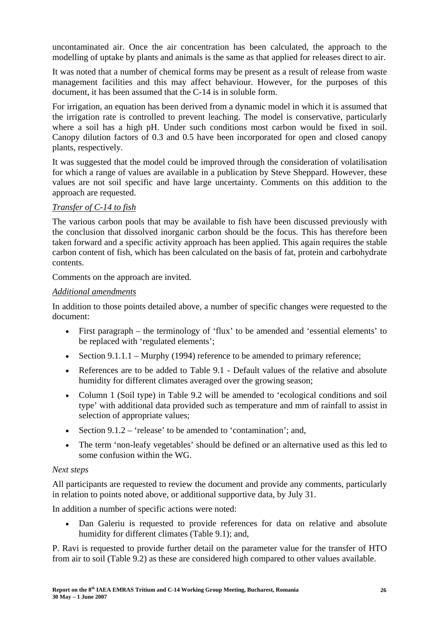uncontaminated air. Once the air concentration has been calculated, the approach to the modelling of uptake by plants and animals is the same as that applied for releases direct to air.

It was noted that a number of chemical forms may be present as a result of release from waste management facilities and this may affect behaviour. However, for the purposes of this document, it has been assumed that the C-14 is in soluble form.

For irrigation, an equation has been derived from a dynamic model in which it is assumed that the irrigation rate is controlled to prevent leaching. The model is conservative, particularly where a soil has a high pH. Under such conditions most carbon would be fixed in soil. Canopy dilution factors of 0.3 and 0.5 have been incorporated for open and closed canopy plants, respectively.

It was suggested that the model could be improved through the consideration of volatilisation for which a range of values are available in a publication by Steve Sheppard. However, these values are not soil specific and have large uncertainty. Comments on this addition to the approach are requested.

## *Transfer of C-14 to fish*

The various carbon pools that may be available to fish have been discussed previously with the conclusion that dissolved inorganic carbon should be the focus. This has therefore been taken forward and a specific activity approach has been applied. This again requires the stable carbon content of fish, which has been calculated on the basis of fat, protein and carbohydrate contents.

Comments on the approach are invited.

## *Additional amendments*

In addition to those points detailed above, a number of specific changes were requested to the document:

- First paragraph the terminology of 'flux' to be amended and 'essential elements' to be replaced with 'regulated elements';
- Section  $9.1.1.1$  Murphy (1994) reference to be amended to primary reference;
- References are to be added to Table 9.1 Default values of the relative and absolute humidity for different climates averaged over the growing season;
- Column 1 (Soil type) in Table 9.2 will be amended to 'ecological conditions and soil type' with additional data provided such as temperature and mm of rainfall to assist in selection of appropriate values;
- Section  $9.1.2$  'release' to be amended to 'contamination'; and,
- The term 'non-leafy vegetables' should be defined or an alternative used as this led to some confusion within the WG.

#### *Next steps*

All participants are requested to review the document and provide any comments, particularly in relation to points noted above, or additional supportive data, by July 31.

In addition a number of specific actions were noted:

• Dan Galeriu is requested to provide references for data on relative and absolute humidity for different climates (Table 9.1); and,

P. Ravi is requested to provide further detail on the parameter value for the transfer of HTO from air to soil (Table 9.2) as these are considered high compared to other values available.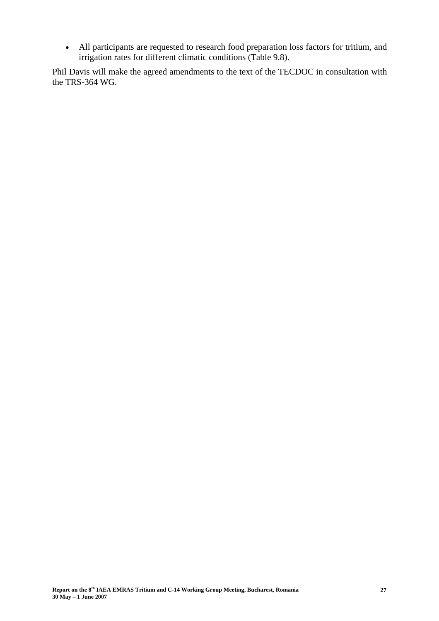• All participants are requested to research food preparation loss factors for tritium, and irrigation rates for different climatic conditions (Table 9.8).

Phil Davis will make the agreed amendments to the text of the TECDOC in consultation with the TRS-364 WG.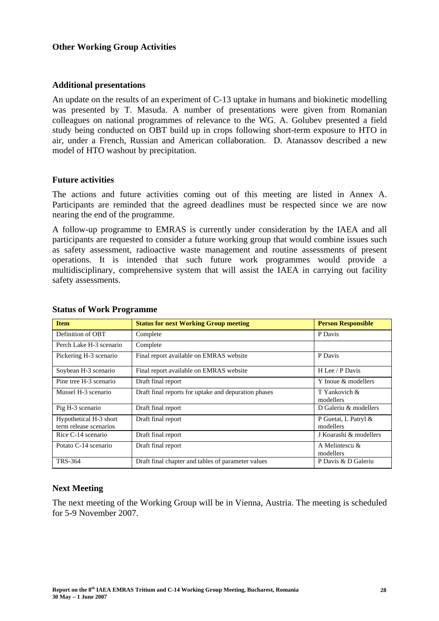#### **Other Working Group Activities**

#### **Additional presentations**

An update on the results of an experiment of C-13 uptake in humans and biokinetic modelling was presented by T. Masuda. A number of presentations were given from Romanian colleagues on national programmes of relevance to the WG. A. Golubev presented a field study being conducted on OBT build up in crops following short-term exposure to HTO in air, under a French, Russian and American collaboration. D. Atanassov described a new model of HTO washout by precipitation.

#### **Future activities**

The actions and future activities coming out of this meeting are listed in Annex A. Participants are reminded that the agreed deadlines must be respected since we are now nearing the end of the programme.

A follow-up programme to EMRAS is currently under consideration by the IAEA and all participants are requested to consider a future working group that would combine issues such as safety assessment, radioactive waste management and routine assessments of present operations. It is intended that such future work programmes would provide a multidisciplinary, comprehensive system that will assist the IAEA in carrying out facility safety assessments.

| <b>Item</b>                                      | <b>Status for next Working Group meeting</b>         | <b>Person Responsible</b>         |
|--------------------------------------------------|------------------------------------------------------|-----------------------------------|
| Definition of OBT                                | Complete                                             | P Davis                           |
| Perch Lake H-3 scenario                          | Complete                                             |                                   |
| Pickering H-3 scenario                           | Final report available on EMRAS website              | P Davis                           |
| Soybean H-3 scenario                             | Final report available on EMRAS website              | H Lee / P Davis                   |
| Pine tree H-3 scenario                           | Draft final report                                   | Y Inoue & modellers               |
| Mussel H-3 scenario                              | Draft final reports for uptake and depuration phases | T Yankovich &<br>modellers        |
| Pig H-3 scenario                                 | Draft final report                                   | D Galeriu & modellers             |
| Hypothetical H-3 short<br>term release scenarios | Draft final report                                   | P Guetat, L Patryl &<br>modellers |
| Rice C-14 scenario                               | Draft final report                                   | J Koarashi & modellers            |
| Potato C-14 scenario                             | Draft final report                                   | A Melintescu &<br>modellers       |
| <b>TRS-364</b>                                   | Draft final chapter and tables of parameter values   | P Davis & D Galeriu               |

#### **Status of Work Programme**

#### **Next Meeting**

The next meeting of the Working Group will be in Vienna, Austria. The meeting is scheduled for 5-9 November 2007.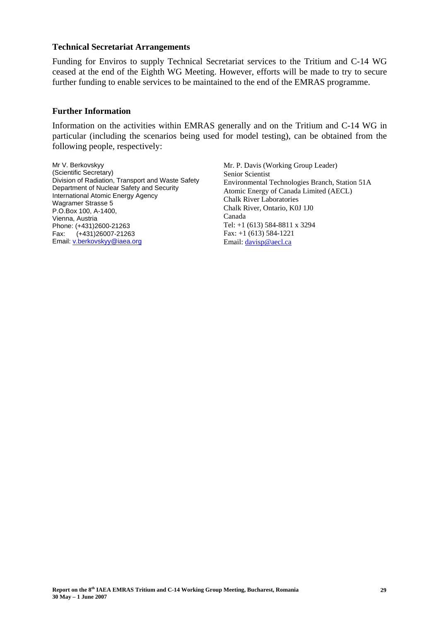#### **Technical Secretariat Arrangements**

Funding for Enviros to supply Technical Secretariat services to the Tritium and C-14 WG ceased at the end of the Eighth WG Meeting. However, efforts will be made to try to secure further funding to enable services to be maintained to the end of the EMRAS programme.

#### **Further Information**

Information on the activities within EMRAS generally and on the Tritium and C-14 WG in particular (including the scenarios being used for model testing), can be obtained from the following people, respectively:

Mr V. Berkovskyy (Scientific Secretary) Division of Radiation, Transport and Waste Safety Department of Nuclear Safety and Security International Atomic Energy Agency Wagramer Strasse 5 P.O.Box 100, A-1400, Vienna, Austria Phone: (+431)2600-21263 Fax: (+431)26007-21263 Email: v.berkovskyy@iaea.org

Mr. P. Davis (Working Group Leader) Senior Scientist Environmental Technologies Branch, Station 51A Atomic Energy of Canada Limited (AECL) Chalk River Laboratories Chalk River, Ontario, K0J 1J0 Canada Tel: +1 (613) 584-8811 x 3294 Fax: +1 (613) 584-1221 Email: davisp@aecl.ca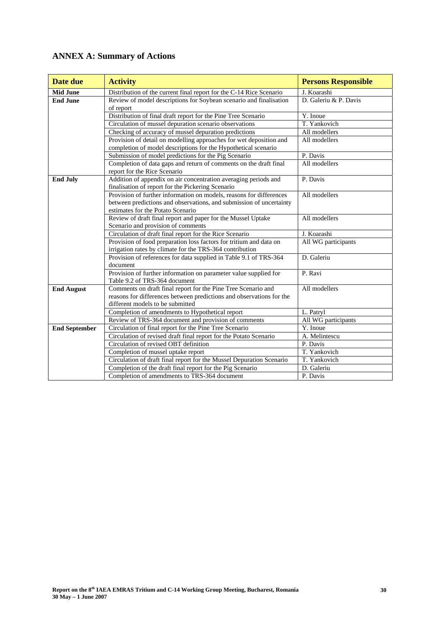# **ANNEX A: Summary of Actions**

| Date due             | <b>Activity</b>                                                                                                                                                                 | <b>Persons Responsible</b> |
|----------------------|---------------------------------------------------------------------------------------------------------------------------------------------------------------------------------|----------------------------|
| <b>Mid June</b>      | Distribution of the current final report for the C-14 Rice Scenario                                                                                                             | J. Koarashi                |
| <b>End June</b>      | Review of model descriptions for Soybean scenario and finalisation<br>of report                                                                                                 | D. Galeriu & P. Davis      |
|                      | Distribution of final draft report for the Pine Tree Scenario                                                                                                                   | Y. Inoue                   |
|                      | Circulation of mussel depuration scenario observations                                                                                                                          | T. Yankovich               |
|                      | Checking of accuracy of mussel depuration predictions                                                                                                                           | All modellers              |
|                      | Provision of detail on modelling approaches for wet deposition and<br>completion of model descriptions for the Hypothetical scenario                                            | All modellers              |
|                      | Submission of model predictions for the Pig Scenario                                                                                                                            | P. Davis                   |
|                      | Completion of data gaps and return of comments on the draft final<br>report for the Rice Scenario                                                                               | All modellers              |
| <b>End July</b>      | Addition of appendix on air concentration averaging periods and<br>finalisation of report for the Pickering Scenario                                                            | P. Davis                   |
|                      | Provision of further information on models, reasons for differences<br>between predictions and observations, and submission of uncertainty<br>estimates for the Potato Scenario | All modellers              |
|                      | Review of draft final report and paper for the Mussel Uptake<br>Scenario and provision of comments                                                                              | All modellers              |
|                      | Circulation of draft final report for the Rice Scenario                                                                                                                         | J. Koarashi                |
|                      | Provision of food preparation loss factors for tritium and data on<br>irrigation rates by climate for the TRS-364 contribution                                                  | All WG participants        |
|                      | Provision of references for data supplied in Table 9.1 of TRS-364<br>document                                                                                                   | D. Galeriu                 |
|                      | Provision of further information on parameter value supplied for<br>Table 9.2 of TRS-364 document                                                                               | P. Ravi                    |
| <b>End August</b>    | Comments on draft final report for the Pine Tree Scenario and                                                                                                                   | All modellers              |
|                      | reasons for differences between predictions and observations for the                                                                                                            |                            |
|                      | different models to be submitted                                                                                                                                                |                            |
|                      | Completion of amendments to Hypothetical report                                                                                                                                 | L. Patryl                  |
|                      | Review of TRS-364 document and provision of comments                                                                                                                            | All WG participants        |
| <b>End September</b> | Circulation of final report for the Pine Tree Scenario                                                                                                                          | Y. Inoue                   |
|                      | Circulation of revised draft final report for the Potato Scenario                                                                                                               | A. Melintescu              |
|                      | Circulation of revised OBT definition                                                                                                                                           | P. Davis                   |
|                      | Completion of mussel uptake report                                                                                                                                              | T. Yankovich               |
|                      | Circulation of draft final report for the Mussel Depuration Scenario                                                                                                            | T. Yankovich               |
|                      | Completion of the draft final report for the Pig Scenario                                                                                                                       | D. Galeriu                 |
|                      | Completion of amendments to TRS-364 document                                                                                                                                    | P. Davis                   |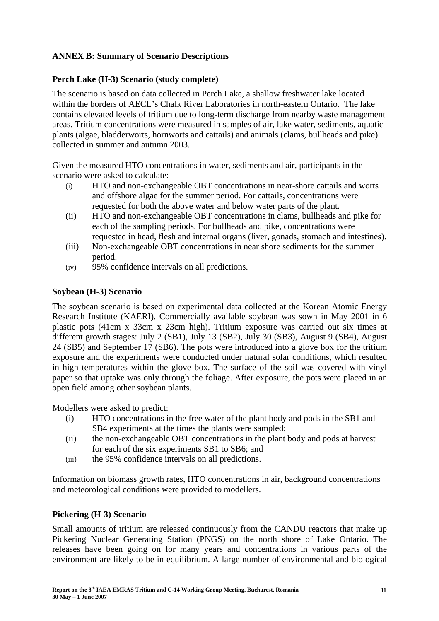## **ANNEX B: Summary of Scenario Descriptions**

## **Perch Lake (H-3) Scenario (study complete)**

The scenario is based on data collected in Perch Lake, a shallow freshwater lake located within the borders of AECL's Chalk River Laboratories in north-eastern Ontario. The lake contains elevated levels of tritium due to long-term discharge from nearby waste management areas. Tritium concentrations were measured in samples of air, lake water, sediments, aquatic plants (algae, bladderworts, hornworts and cattails) and animals (clams, bullheads and pike) collected in summer and autumn 2003.

Given the measured HTO concentrations in water, sediments and air, participants in the scenario were asked to calculate:

- (i) HTO and non-exchangeable OBT concentrations in near-shore cattails and worts and offshore algae for the summer period. For cattails, concentrations were requested for both the above water and below water parts of the plant.
- (ii) HTO and non-exchangeable OBT concentrations in clams, bullheads and pike for each of the sampling periods. For bullheads and pike, concentrations were requested in head, flesh and internal organs (liver, gonads, stomach and intestines).
- (iii) Non-exchangeable OBT concentrations in near shore sediments for the summer period.
- (iv) 95% confidence intervals on all predictions.

## **Soybean (H-3) Scenario**

The soybean scenario is based on experimental data collected at the Korean Atomic Energy Research Institute (KAERI). Commercially available soybean was sown in May 2001 in 6 plastic pots (41cm x 33cm x 23cm high). Tritium exposure was carried out six times at different growth stages: July 2 (SB1), July 13 (SB2), July 30 (SB3), August 9 (SB4), August 24 (SB5) and September 17 (SB6). The pots were introduced into a glove box for the tritium exposure and the experiments were conducted under natural solar conditions, which resulted in high temperatures within the glove box. The surface of the soil was covered with vinyl paper so that uptake was only through the foliage. After exposure, the pots were placed in an open field among other soybean plants.

Modellers were asked to predict:

- (i) HTO concentrations in the free water of the plant body and pods in the SB1 and SB4 experiments at the times the plants were sampled;
- (ii) the non-exchangeable OBT concentrations in the plant body and pods at harvest for each of the six experiments SB1 to SB6; and
- (iii) the 95% confidence intervals on all predictions.

Information on biomass growth rates, HTO concentrations in air, background concentrations and meteorological conditions were provided to modellers.

## **Pickering (H-3) Scenario**

Small amounts of tritium are released continuously from the CANDU reactors that make up Pickering Nuclear Generating Station (PNGS) on the north shore of Lake Ontario. The releases have been going on for many years and concentrations in various parts of the environment are likely to be in equilibrium. A large number of environmental and biological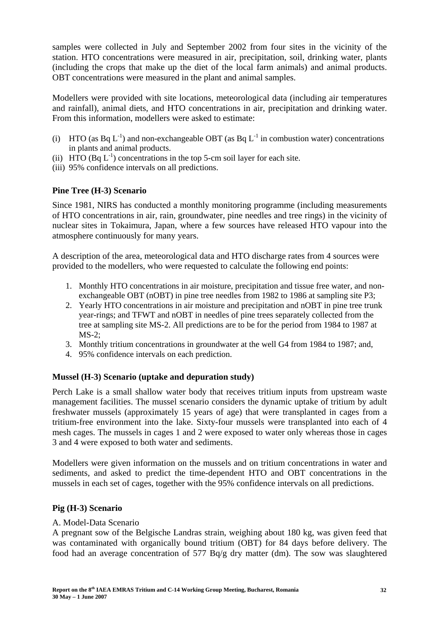samples were collected in July and September 2002 from four sites in the vicinity of the station. HTO concentrations were measured in air, precipitation, soil, drinking water, plants (including the crops that make up the diet of the local farm animals) and animal products. OBT concentrations were measured in the plant and animal samples.

Modellers were provided with site locations, meteorological data (including air temperatures and rainfall), animal diets, and HTO concentrations in air, precipitation and drinking water. From this information, modellers were asked to estimate:

- (i) HTO (as  $Ba L^{-1}$ ) and non-exchangeable OBT (as  $Ba L^{-1}$  in combustion water) concentrations in plants and animal products.
- (ii) HTO  $(Bq L^{-1})$  concentrations in the top 5-cm soil layer for each site.
- (iii) 95% confidence intervals on all predictions.

## **Pine Tree (H-3) Scenario**

Since 1981, NIRS has conducted a monthly monitoring programme (including measurements of HTO concentrations in air, rain, groundwater, pine needles and tree rings) in the vicinity of nuclear sites in Tokaimura, Japan, where a few sources have released HTO vapour into the atmosphere continuously for many years.

A description of the area, meteorological data and HTO discharge rates from 4 sources were provided to the modellers, who were requested to calculate the following end points:

- 1. Monthly HTO concentrations in air moisture, precipitation and tissue free water, and nonexchangeable OBT (nOBT) in pine tree needles from 1982 to 1986 at sampling site P3;
- 2. Yearly HTO concentrations in air moisture and precipitation and nOBT in pine tree trunk year-rings; and TFWT and nOBT in needles of pine trees separately collected from the tree at sampling site MS-2. All predictions are to be for the period from 1984 to 1987 at MS-2;
- 3. Monthly tritium concentrations in groundwater at the well G4 from 1984 to 1987; and,
- 4. 95% confidence intervals on each prediction.

## **Mussel (H-3) Scenario (uptake and depuration study)**

Perch Lake is a small shallow water body that receives tritium inputs from upstream waste management facilities. The mussel scenario considers the dynamic uptake of tritium by adult freshwater mussels (approximately 15 years of age) that were transplanted in cages from a tritium-free environment into the lake. Sixty-four mussels were transplanted into each of 4 mesh cages. The mussels in cages 1 and 2 were exposed to water only whereas those in cages 3 and 4 were exposed to both water and sediments.

Modellers were given information on the mussels and on tritium concentrations in water and sediments, and asked to predict the time-dependent HTO and OBT concentrations in the mussels in each set of cages, together with the 95% confidence intervals on all predictions.

## **Pig (H-3) Scenario**

#### A. Model-Data Scenario

A pregnant sow of the Belgische Landras strain, weighing about 180 kg, was given feed that was contaminated with organically bound tritium (OBT) for 84 days before delivery. The food had an average concentration of 577 Bq/g dry matter (dm). The sow was slaughtered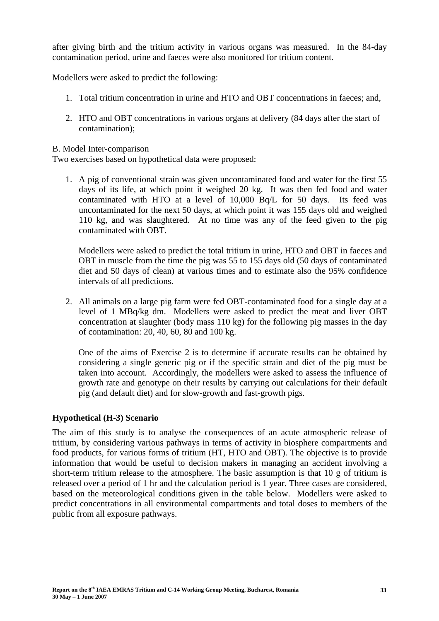after giving birth and the tritium activity in various organs was measured. In the 84-day contamination period, urine and faeces were also monitored for tritium content.

Modellers were asked to predict the following:

- 1. Total tritium concentration in urine and HTO and OBT concentrations in faeces; and,
- 2. HTO and OBT concentrations in various organs at delivery (84 days after the start of contamination);

#### B. Model Inter-comparison

Two exercises based on hypothetical data were proposed:

1. A pig of conventional strain was given uncontaminated food and water for the first 55 days of its life, at which point it weighed 20 kg. It was then fed food and water contaminated with HTO at a level of 10,000 Bq/L for 50 days. Its feed was uncontaminated for the next 50 days, at which point it was 155 days old and weighed 110 kg, and was slaughtered. At no time was any of the feed given to the pig contaminated with OBT.

Modellers were asked to predict the total tritium in urine, HTO and OBT in faeces and OBT in muscle from the time the pig was 55 to 155 days old (50 days of contaminated diet and 50 days of clean) at various times and to estimate also the 95% confidence intervals of all predictions.

2. All animals on a large pig farm were fed OBT-contaminated food for a single day at a level of 1 MBq/kg dm. Modellers were asked to predict the meat and liver OBT concentration at slaughter (body mass 110 kg) for the following pig masses in the day of contamination: 20, 40, 60, 80 and 100 kg.

One of the aims of Exercise 2 is to determine if accurate results can be obtained by considering a single generic pig or if the specific strain and diet of the pig must be taken into account. Accordingly, the modellers were asked to assess the influence of growth rate and genotype on their results by carrying out calculations for their default pig (and default diet) and for slow-growth and fast-growth pigs.

## **Hypothetical (H-3) Scenario**

The aim of this study is to analyse the consequences of an acute atmospheric release of tritium, by considering various pathways in terms of activity in biosphere compartments and food products, for various forms of tritium (HT, HTO and OBT). The objective is to provide information that would be useful to decision makers in managing an accident involving a short-term tritium release to the atmosphere. The basic assumption is that 10 g of tritium is released over a period of 1 hr and the calculation period is 1 year. Three cases are considered, based on the meteorological conditions given in the table below. Modellers were asked to predict concentrations in all environmental compartments and total doses to members of the public from all exposure pathways.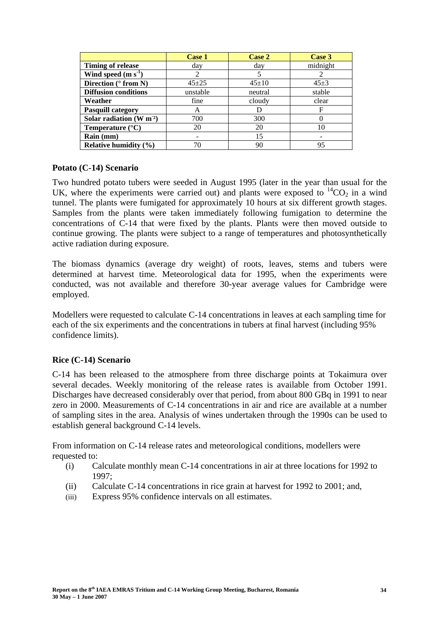|                             | <b>Case 1</b> | Case 2      | Case 3     |
|-----------------------------|---------------|-------------|------------|
| <b>Timing of release</b>    | day           | day         | midnight   |
| Wind speed $(m s-1)$        | 2             |             |            |
| Direction ( $\circ$ from N) | $45 + 25$     | $45 \pm 10$ | $45 \pm 3$ |
| <b>Diffusion conditions</b> | unstable      | neutral     | stable     |
| Weather                     | fine          | cloudy      | clear      |
| <b>Pasquill category</b>    | A             |             | F          |
| Solar radiation $(W m2)$    | 700           | 300         |            |
| Temperature $(^{\circ}C)$   | 20            | 20          | 10         |
| Rain (mm)                   |               | 15          |            |
| Relative humidity $(\% )$   | 70            | 90          | 95         |

#### **Potato (C-14) Scenario**

Two hundred potato tubers were seeded in August 1995 (later in the year than usual for the UK, where the experiments were carried out) and plants were exposed to  ${}^{14}CO_2$  in a wind tunnel. The plants were fumigated for approximately 10 hours at six different growth stages. Samples from the plants were taken immediately following fumigation to determine the concentrations of C-14 that were fixed by the plants. Plants were then moved outside to continue growing. The plants were subject to a range of temperatures and photosynthetically active radiation during exposure.

The biomass dynamics (average dry weight) of roots, leaves, stems and tubers were determined at harvest time. Meteorological data for 1995, when the experiments were conducted, was not available and therefore 30-year average values for Cambridge were employed.

Modellers were requested to calculate C-14 concentrations in leaves at each sampling time for each of the six experiments and the concentrations in tubers at final harvest (including 95% confidence limits).

#### **Rice (C-14) Scenario**

C-14 has been released to the atmosphere from three discharge points at Tokaimura over several decades. Weekly monitoring of the release rates is available from October 1991. Discharges have decreased considerably over that period, from about 800 GBq in 1991 to near zero in 2000. Measurements of C-14 concentrations in air and rice are available at a number of sampling sites in the area. Analysis of wines undertaken through the 1990s can be used to establish general background C-14 levels.

From information on C-14 release rates and meteorological conditions, modellers were requested to:

- (i) Calculate monthly mean C-14 concentrations in air at three locations for 1992 to 1997;
- (ii) Calculate C-14 concentrations in rice grain at harvest for 1992 to 2001; and,
- (iii) Express 95% confidence intervals on all estimates.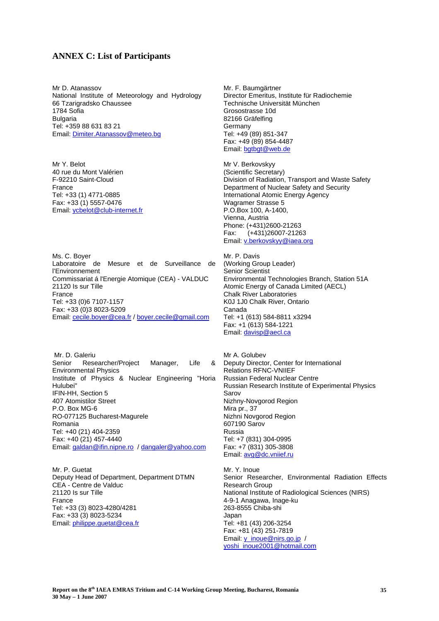#### **ANNEX C: List of Participants**

Mr D. Atanassov National Institute of Meteorology and Hydrology 66 Tzarigradsko Chaussee 1784 Sofia **Bulgaria** Tel: +359 88 631 83 21 Email: Dimiter.Atanassov@meteo.bg

Mr Y. Belot 40 rue du Mont Valérien F-92210 Saint-Cloud France Tel: +33 (1) 4771-0885 Fax: +33 (1) 5557-0476 Email: ycbelot@club-internet.fr

Ms. C. Boyer Laboratoire de Mesure et de Surveillance de l'Environnement Commissariat á l'Energie Atomique (CEA) - VALDUC 21120 Is sur Tille France Tel: +33 (0)6 7107-1157 Fax: +33 (0)3 8023-5209 Email: cecile.boyer@cea.fr / boyer.cecile@gmail.com

 Mr. D. Galeriu Senior Researcher/Project Manager, Life & Environmental Physics Institute of Physics & Nuclear Engineering "Horia Hulubei" IFIN-HH, Section 5 407 Atomistilor Street P.O. Box MG-6 RO-077125 Bucharest-Magurele Romania Tel: +40 (21) 404-2359 Fax: +40 (21) 457-4440 Email: galdan@ifin.nipne.ro / dangaler@yahoo.com

Mr. P. Guetat Deputy Head of Department, Department DTMN CEA - Centre de Valduc 21120 Is sur Tille France Tel: +33 (3) 8023-4280/4281 Fax: +33 (3) 8023-5234 Email: philippe.guetat@cea.fr

Mr. F. Baumgärtner Director Emeritus, Institute für Radiochemie Technische Universität München Grosostrasse 10d 82166 Gräfelfing Germany Tel: +49 (89) 851-347 Fax: +49 (89) 854-4487 Email: bgtbgt@web.de

Mr V. Berkovskyy (Scientific Secretary) Division of Radiation, Transport and Waste Safety Department of Nuclear Safety and Security International Atomic Energy Agency Wagramer Strasse 5 P.O.Box 100, A-1400, Vienna, Austria Phone: (+431)2600-21263 Fax: (+431)26007-21263 Email: v.berkovskyy@iaea.org

Mr. P. Davis (Working Group Leader) Senior Scientist Environmental Technologies Branch, Station 51A Atomic Energy of Canada Limited (AECL) Chalk River Laboratories K0J 1J0 Chalk River, Ontario Canada Tel: +1 (613) 584-8811 x3294 Fax: +1 (613) 584-1221 Email: davisp@aecl.ca

Mr A. Golubev Deputy Director, Center for International Relations RFNC-VNIIEF Russian Federal Nuclear Centre Russian Research Institute of Experimental Physics Sarov Nizhny-Novgorod Region Mira pr., 37 Nizhni Novgorod Region 607190 Sarov Russia Tel: +7 (831) 304-0995 Fax: +7 (831) 305-3808 Email: avg@dc.vniief.ru

Mr. Y. Inoue Senior Researcher, Environmental Radiation Effects Research Group National Institute of Radiological Sciences (NIRS) 4-9-1 Anagawa, Inage-ku 263-8555 Chiba-shi Japan Tel: +81 (43) 206-3254 Fax: +81 (43) 251-7819 Email: y\_inoue@nirs.go.jp / yoshi\_inoue2001@hotmail.com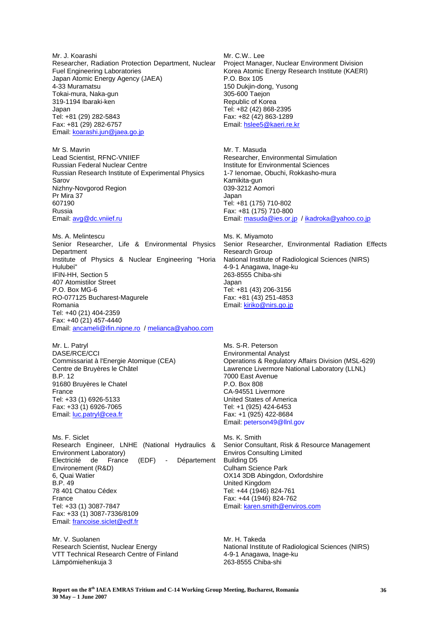Mr. J. Koarashi Researcher, Radiation Protection Department, Nuclear Fuel Engineering Laboratories Japan Atomic Energy Agency (JAEA) 4-33 Muramatsu Tokai-mura, Naka-gun 319-1194 Ibaraki-ken Japan Tel: +81 (29) 282-5843 Fax: +81 (29) 282-6757 Email: koarashi.jun@jaea.go.jp

Mr S. Mavrin Lead Scientist, RFNC-VNIIEF Russian Federal Nuclear Centre Russian Research Institute of Experimental Physics Sarov Nizhny-Novgorod Region Pr Mira 37 607190 Russia Email: avg@dc.vniief.ru

Ms. A. Melintescu Senior Researcher, Life & Environmental Physics Department Institute of Physics & Nuclear Engineering "Horia Hulubei" IFIN-HH, Section 5 407 Atomistilor Street P.O. Box MG-6 RO-077125 Bucharest-Magurele Romania Tel: +40 (21) 404-2359 Fax: +40 (21) 457-4440 Email: ancameli@ifin.nipne.ro / melianca@yahoo.com

Mr. L. Patryl DASE/RCE/CCI Commissariat à l'Energie Atomique (CEA) Centre de Bruyères le Châtel B.P. 12 91680 Bruyères le Chatel France Tel: +33 (1) 6926-5133 Fax: +33 (1) 6926-7065 Email: luc.patryl@cea.fr

Ms. F. Siclet Research Engineer, LNHE (National Hydraulics & Environment Laboratory) Electricité de France (EDF) - Département Environement (R&D) 6, Quai Watier B.P. 49 78 401 Chatou Cédex France Tel: +33 (1) 3087-7847 Fax: +33 (1) 3087-7336/8109 Email: francoise.siclet@edf.fr

Mr. V. Suolanen Research Scientist, Nuclear Energy VTT Technical Research Centre of Finland Lämpömiehenkuja 3

Mr. C.W.. Lee Project Manager, Nuclear Environment Division Korea Atomic Energy Research Institute (KAERI) P.O. Box 105 150 Dukjin-dong, Yusong 305-600 Taejon Republic of Korea Tel: +82 (42) 868-2395 Fax: +82 (42) 863-1289 Email: hslee5@kaeri.re.kr

Mr. T. Masuda<br>Researcher, Environmental Simulation Institute for Environmental Sciences 1-7 Ienomae, Obuchi, Rokkasho-mura Kamikita-gun 039-3212 Aomori Japan Tel: +81 (175) 710-802 Fax: +81 (175) 710-800 Email: masuda@ies.or.jp / ikadroka@yahoo.co.jp

Ms. K. Miyamoto Senior Researcher, Environmental Radiation Effects Research Group National Institute of Radiological Sciences (NIRS) 4-9-1 Anagawa, Inage-ku 263-8555 Chiba-shi Japan Tel: +81 (43) 206-3156 Fax: +81 (43) 251-4853 Email: kiriko@nirs.go.jp

Ms. S-R. Peterson Environmental Analyst Operations & Regulatory Affairs Division (MSL-629) Lawrence Livermore National Laboratory (LLNL) 7000 East Avenue P.O. Box 808 CA-94551 Livermore United States of America Tel: +1 (925) 424-6453 Fax: +1 (925) 422-8684 Email: peterson49@llnl.gov

Ms. K. Smith Senior Consultant, Risk & Resource Management Enviros Consulting Limited Building D5 Culham Science Park OX14 3DB Abingdon, Oxfordshire United Kingdom Tel: +44 (1946) 824-761 Fax: +44 (1946) 824-762 Email: karen.smith@enviros.com

Mr. H. Takeda National Institute of Radiological Sciences (NIRS) 4-9-1 Anagawa, Inage-ku 263-8555 Chiba-shi